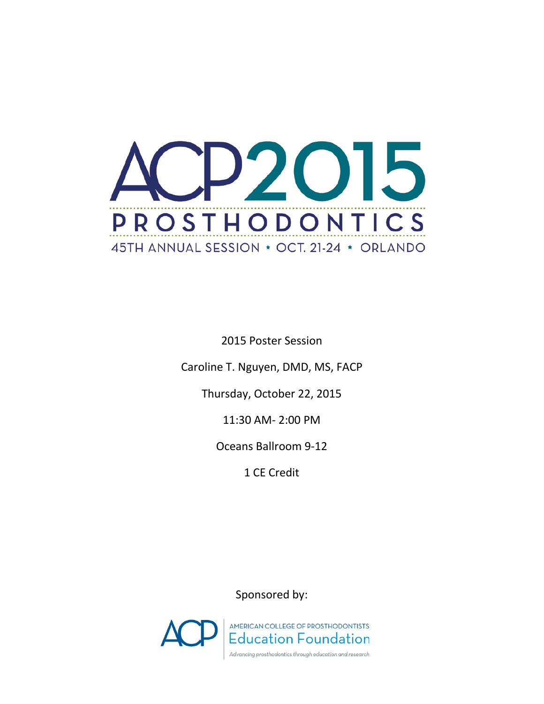

2015 Poster Session

Caroline T. Nguyen, DMD, MS, FACP

Thursday, October 22, 2015

11:30 AM- 2:00 PM

Oceans Ballroom 9-12

1 CE Credit

Sponsored by:

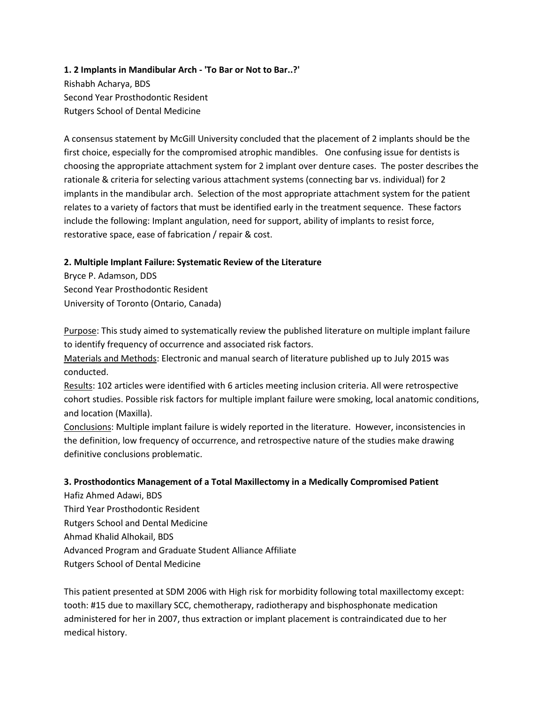# **1. 2 Implants in Mandibular Arch - 'To Bar or Not to Bar..?'** Rishabh Acharya, BDS Second Year Prosthodontic Resident Rutgers School of Dental Medicine

A consensus statement by McGill University concluded that the placement of 2 implants should be the first choice, especially for the compromised atrophic mandibles. One confusing issue for dentists is choosing the appropriate attachment system for 2 implant over denture cases. The poster describes the rationale & criteria for selecting various attachment systems (connecting bar vs. individual) for 2 implants in the mandibular arch. Selection of the most appropriate attachment system for the patient relates to a variety of factors that must be identified early in the treatment sequence. These factors include the following: Implant angulation, need for support, ability of implants to resist force, restorative space, ease of fabrication / repair & cost.

#### **2. Multiple Implant Failure: Systematic Review of the Literature**

Bryce P. Adamson, DDS Second Year Prosthodontic Resident University of Toronto (Ontario, Canada)

Purpose: This study aimed to systematically review the published literature on multiple implant failure to identify frequency of occurrence and associated risk factors.

Materials and Methods: Electronic and manual search of literature published up to July 2015 was conducted.

Results: 102 articles were identified with 6 articles meeting inclusion criteria. All were retrospective cohort studies. Possible risk factors for multiple implant failure were smoking, local anatomic conditions, and location (Maxilla).

Conclusions: Multiple implant failure is widely reported in the literature. However, inconsistencies in the definition, low frequency of occurrence, and retrospective nature of the studies make drawing definitive conclusions problematic.

#### **3. Prosthodontics Management of a Total Maxillectomy in a Medically Compromised Patient**

Hafiz Ahmed Adawi, BDS Third Year Prosthodontic Resident Rutgers School and Dental Medicine Ahmad Khalid Alhokail, BDS Advanced Program and Graduate Student Alliance Affiliate Rutgers School of Dental Medicine

This patient presented at SDM 2006 with High risk for morbidity following total maxillectomy except: tooth: #15 due to maxillary SCC, chemotherapy, radiotherapy and bisphosphonate medication administered for her in 2007, thus extraction or implant placement is contraindicated due to her medical history.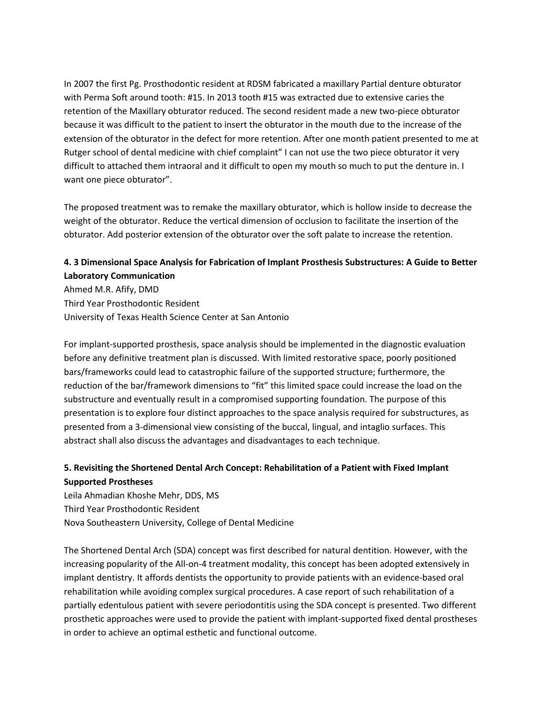In 2007 the first Pg. Prosthodontic resident at RDSM fabricated a maxillary Partial denture obturator with Perma Soft around tooth: #15. In 2013 tooth #15 was extracted due to extensive caries the retention of the Maxillary obturator reduced. The second resident made a new two-piece obturator because it was difficult to the patient to insert the obturator in the mouth due to the increase of the extension of the obturator in the defect for more retention. After one month patient presented to me at Rutger school of dental medicine with chief complaint" I can not use the two piece obturator it very difficult to attached them intraoral and it difficult to open my mouth so much to put the denture in. I want one piece obturator".

The proposed treatment was to remake the maxillary obturator, which is hollow inside to decrease the weight of the obturator. Reduce the vertical dimension of occlusion to facilitate the insertion of the obturator. Add posterior extension of the obturator over the soft palate to increase the retention.

# **4. 3 Dimensional Space Analysis for Fabrication of Implant Prosthesis Substructures: A Guide to Better Laboratory Communication**

Ahmed M.R. Afify, DMD Third Year Prosthodontic Resident University of Texas Health Science Center at San Antonio

For implant-supported prosthesis, space analysis should be implemented in the diagnostic evaluation before any definitive treatment plan is discussed. With limited restorative space, poorly positioned bars/frameworks could lead to catastrophic failure of the supported structure; furthermore, the reduction of the bar/framework dimensions to "fit" this limited space could increase the load on the substructure and eventually result in a compromised supporting foundation. The purpose of this presentation is to explore four distinct approaches to the space analysis required for substructures, as presented from a 3-dimensional view consisting of the buccal, lingual, and intaglio surfaces. This abstract shall also discuss the advantages and disadvantages to each technique.

# **5. Revisiting the Shortened Dental Arch Concept: Rehabilitation of a Patient with Fixed Implant Supported Prostheses**

Leila Ahmadian Khoshe Mehr, DDS, MS Third Year Prosthodontic Resident Nova Southeastern University, College of Dental Medicine

The Shortened Dental Arch (SDA) concept was first described for natural dentition. However, with the increasing popularity of the All-on-4 treatment modality, this concept has been adopted extensively in implant dentistry. It affords dentists the opportunity to provide patients with an evidence-based oral rehabilitation while avoiding complex surgical procedures. A case report of such rehabilitation of a partially edentulous patient with severe periodontitis using the SDA concept is presented. Two different prosthetic approaches were used to provide the patient with implant-supported fixed dental prostheses in order to achieve an optimal esthetic and functional outcome.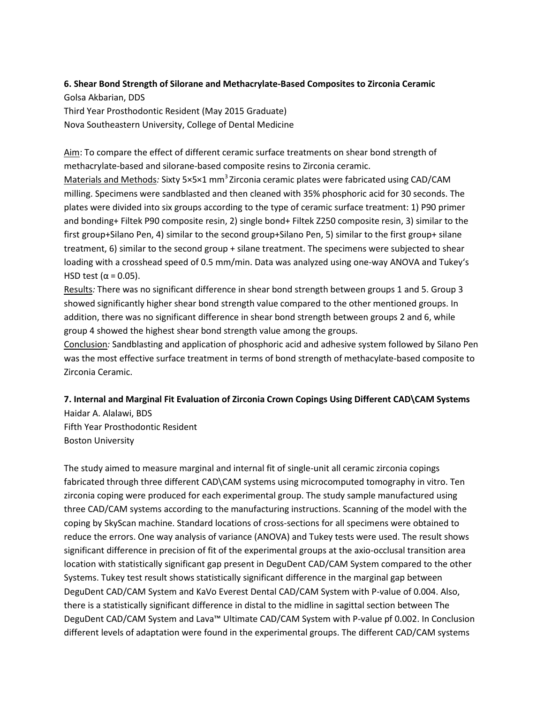# **6. Shear Bond Strength of Silorane and Methacrylate-Based Composites to Zirconia Ceramic**

Golsa Akbarian, DDS Third Year Prosthodontic Resident (May 2015 Graduate) Nova Southeastern University, College of Dental Medicine

Aim: To compare the effect of different ceramic surface treatments on shear bond strength of methacrylate-based and silorane-based composite resins to Zirconia ceramic.

Materials and Methods: Sixty 5×5×1 mm<sup>3</sup> Zirconia ceramic plates were fabricated using CAD/CAM milling. Specimens were sandblasted and then cleaned with 35% phosphoric acid for 30 seconds. The plates were divided into six groups according to the type of ceramic surface treatment: 1) P90 primer and bonding+ Filtek P90 composite resin, 2) single bond+ Filtek Z250 composite resin, 3) similar to the first group+Silano Pen, 4) similar to the second group+Silano Pen, 5) similar to the first group+ silane treatment, 6) similar to the second group + silane treatment. The specimens were subjected to shear loading with a crosshead speed of 0.5 mm/min. Data was analyzed using one-way ANOVA and Tukey's HSD test ( $\alpha$  = 0.05).

Results*:* There was no significant difference in shear bond strength between groups 1 and 5. Group 3 showed significantly higher shear bond strength value compared to the other mentioned groups. In addition, there was no significant difference in shear bond strength between groups 2 and 6, while group 4 showed the highest shear bond strength value among the groups.

Conclusion*:* Sandblasting and application of phosphoric acid and adhesive system followed by Silano Pen was the most effective surface treatment in terms of bond strength of methacylate-based composite to Zirconia Ceramic.

# **7. Internal and Marginal Fit Evaluation of Zirconia Crown Copings Using Different CAD\CAM Systems** Haidar A. Alalawi, BDS

Fifth Year Prosthodontic Resident Boston University

The study aimed to measure marginal and internal fit of single-unit all ceramic zirconia copings fabricated through three different CAD\CAM systems using microcomputed tomography in vitro. Ten zirconia coping were produced for each experimental group. The study sample manufactured using three CAD/CAM systems according to the manufacturing instructions. Scanning of the model with the coping by SkyScan machine. Standard locations of cross-sections for all specimens were obtained to reduce the errors. One way analysis of variance (ANOVA) and Tukey tests were used. The result shows significant difference in precision of fit of the experimental groups at the axio-occlusal transition area location with statistically significant gap present in DeguDent CAD/CAM System compared to the other Systems. Tukey test result shows statistically significant difference in the marginal gap between DeguDent CAD/CAM System and KaVo Everest Dental CAD/CAM System with P-value of 0.004. Also, there is a statistically significant difference in distal to the midline in sagittal section between The DeguDent CAD/CAM System and Lava™ Ultimate CAD/CAM System with P-value pf 0.002. In Conclusion different levels of adaptation were found in the experimental groups. The different CAD/CAM systems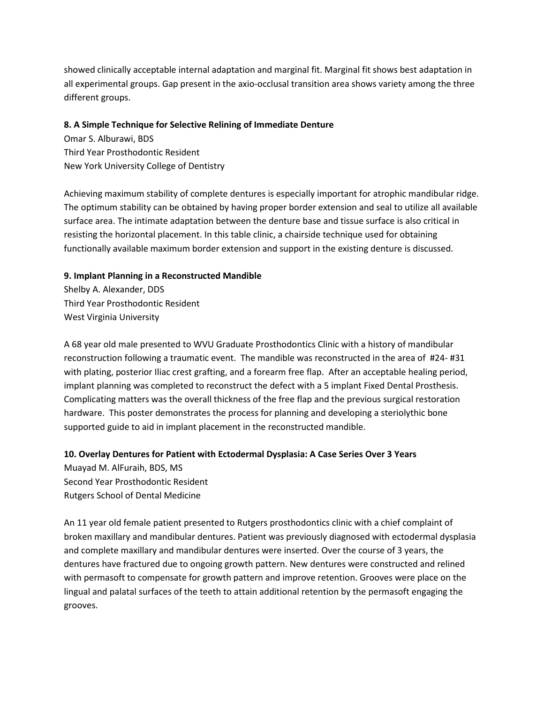showed clinically acceptable internal adaptation and marginal fit. Marginal fit shows best adaptation in all experimental groups. Gap present in the axio-occlusal transition area shows variety among the three different groups.

#### **8. A Simple Technique for Selective Relining of Immediate Denture**

Omar S. Alburawi, BDS Third Year Prosthodontic Resident New York University College of Dentistry

Achieving maximum stability of complete dentures is especially important for atrophic mandibular ridge. The optimum stability can be obtained by having proper border extension and seal to utilize all available surface area. The intimate adaptation between the denture base and tissue surface is also critical in resisting the horizontal placement. In this table clinic, a chairside technique used for obtaining functionally available maximum border extension and support in the existing denture is discussed.

#### **9. Implant Planning in a Reconstructed Mandible**

Shelby A. Alexander, DDS Third Year Prosthodontic Resident West Virginia University

A 68 year old male presented to WVU Graduate Prosthodontics Clinic with a history of mandibular reconstruction following a traumatic event. The mandible was reconstructed in the area of #24- #31 with plating, posterior Iliac crest grafting, and a forearm free flap. After an acceptable healing period, implant planning was completed to reconstruct the defect with a 5 implant Fixed Dental Prosthesis. Complicating matters was the overall thickness of the free flap and the previous surgical restoration hardware. This poster demonstrates the process for planning and developing a steriolythic bone supported guide to aid in implant placement in the reconstructed mandible.

#### **10. Overlay Dentures for Patient with Ectodermal Dysplasia: A Case Series Over 3 Years**

Muayad M. AlFuraih, BDS, MS Second Year Prosthodontic Resident Rutgers School of Dental Medicine

An 11 year old female patient presented to Rutgers prosthodontics clinic with a chief complaint of broken maxillary and mandibular dentures. Patient was previously diagnosed with ectodermal dysplasia and complete maxillary and mandibular dentures were inserted. Over the course of 3 years, the dentures have fractured due to ongoing growth pattern. New dentures were constructed and relined with permasoft to compensate for growth pattern and improve retention. Grooves were place on the lingual and palatal surfaces of the teeth to attain additional retention by the permasoft engaging the grooves.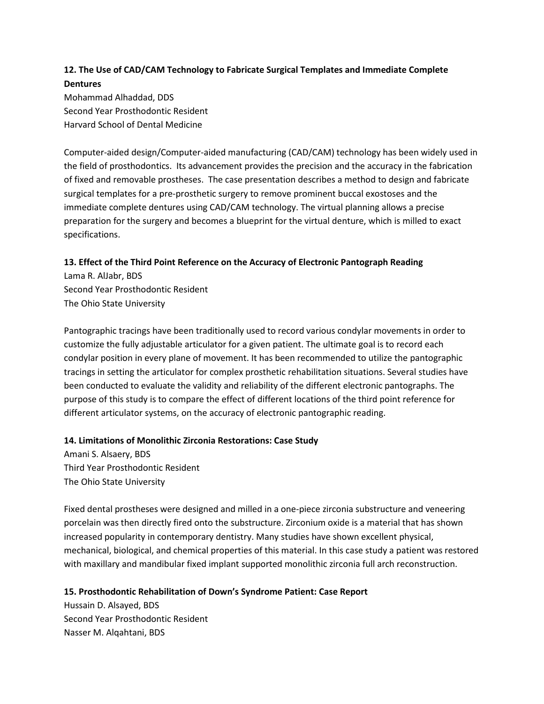# **12. The Use of CAD/CAM Technology to Fabricate Surgical Templates and Immediate Complete Dentures**

Mohammad Alhaddad, DDS Second Year Prosthodontic Resident Harvard School of Dental Medicine

Computer-aided design/Computer-aided manufacturing (CAD/CAM) technology has been widely used in the field of prosthodontics. Its advancement provides the precision and the accuracy in the fabrication of fixed and removable prostheses. The case presentation describes a method to design and fabricate surgical templates for a pre-prosthetic surgery to remove prominent buccal exostoses and the immediate complete dentures using CAD/CAM technology. The virtual planning allows a precise preparation for the surgery and becomes a blueprint for the virtual denture, which is milled to exact specifications.

#### **13. Effect of the Third Point Reference on the Accuracy of Electronic Pantograph Reading**

Lama R. AlJabr, BDS Second Year Prosthodontic Resident The Ohio State University

Pantographic tracings have been traditionally used to record various condylar movements in order to customize the fully adjustable articulator for a given patient. The ultimate goal is to record each condylar position in every plane of movement. It has been recommended to utilize the pantographic tracings in setting the articulator for complex prosthetic rehabilitation situations. Several studies have been conducted to evaluate the validity and reliability of the different electronic pantographs. The purpose of this study is to compare the effect of different locations of the third point reference for different articulator systems, on the accuracy of electronic pantographic reading.

#### **14. Limitations of Monolithic Zirconia Restorations: Case Study**

Amani S. Alsaery, BDS Third Year Prosthodontic Resident The Ohio State University

Fixed dental prostheses were designed and milled in a one-piece zirconia substructure and veneering porcelain was then directly fired onto the substructure. Zirconium oxide is a material that has shown increased popularity in contemporary dentistry. Many studies have shown excellent physical, mechanical, biological, and chemical properties of this material. In this case study a patient was restored with maxillary and mandibular fixed implant supported monolithic zirconia full arch reconstruction.

#### **15. Prosthodontic Rehabilitation of Down's Syndrome Patient: Case Report**

Hussain D. Alsayed, BDS Second Year Prosthodontic Resident Nasser M. Alqahtani, BDS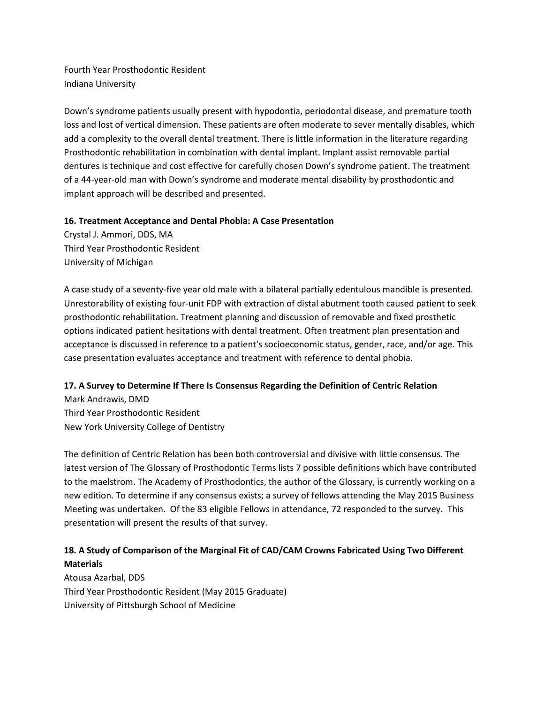Fourth Year Prosthodontic Resident Indiana University

Down's syndrome patients usually present with hypodontia, periodontal disease, and premature tooth loss and lost of vertical dimension. These patients are often moderate to sever mentally disables, which add a complexity to the overall dental treatment. There is little information in the literature regarding Prosthodontic rehabilitation in combination with dental implant. Implant assist removable partial dentures is technique and cost effective for carefully chosen Down's syndrome patient. The treatment of a 44-year-old man with Down's syndrome and moderate mental disability by prosthodontic and implant approach will be described and presented.

#### **16. Treatment Acceptance and Dental Phobia: A Case Presentation**

Crystal J. Ammori, DDS, MA Third Year Prosthodontic Resident University of Michigan

A case study of a seventy-five year old male with a bilateral partially edentulous mandible is presented. Unrestorability of existing four-unit FDP with extraction of distal abutment tooth caused patient to seek prosthodontic rehabilitation. Treatment planning and discussion of removable and fixed prosthetic options indicated patient hesitations with dental treatment. Often treatment plan presentation and acceptance is discussed in reference to a patient's socioeconomic status, gender, race, and/or age. This case presentation evaluates acceptance and treatment with reference to dental phobia.

#### **17. A Survey to Determine If There Is Consensus Regarding the Definition of Centric Relation**

Mark Andrawis, DMD Third Year Prosthodontic Resident New York University College of Dentistry

The definition of Centric Relation has been both controversial and divisive with little consensus. The latest version of The Glossary of Prosthodontic Terms lists 7 possible definitions which have contributed to the maelstrom. The Academy of Prosthodontics, the author of the Glossary, is currently working on a new edition. To determine if any consensus exists; a survey of fellows attending the May 2015 Business Meeting was undertaken. Of the 83 eligible Fellows in attendance, 72 responded to the survey. This presentation will present the results of that survey.

# **18. A Study of Comparison of the Marginal Fit of CAD/CAM Crowns Fabricated Using Two Different Materials**

Atousa Azarbal, DDS Third Year Prosthodontic Resident (May 2015 Graduate) University of Pittsburgh School of Medicine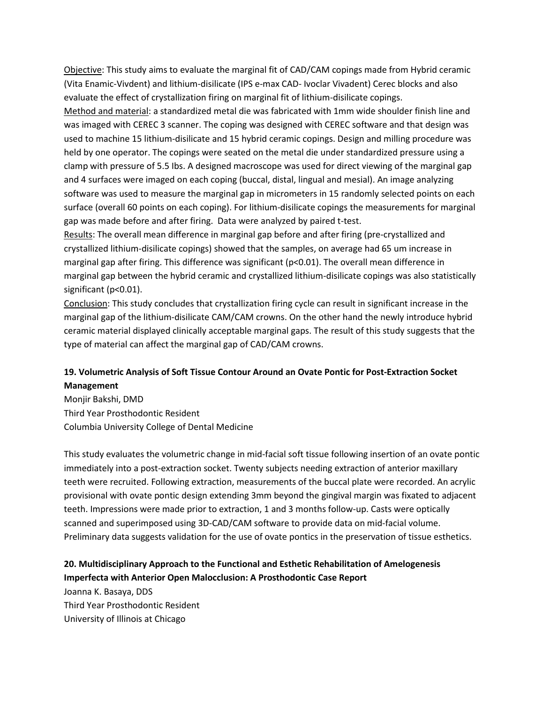Objective: This study aims to evaluate the marginal fit of CAD/CAM copings made from Hybrid ceramic (Vita Enamic-Vivdent) and lithium-disilicate (IPS e-max CAD- Ivoclar Vivadent) Cerec blocks and also evaluate the effect of crystallization firing on marginal fit of lithium-disilicate copings.

Method and material: a standardized metal die was fabricated with 1mm wide shoulder finish line and was imaged with CEREC 3 scanner. The coping was designed with CEREC software and that design was used to machine 15 lithium-disilicate and 15 hybrid ceramic copings. Design and milling procedure was held by one operator. The copings were seated on the metal die under standardized pressure using a clamp with pressure of 5.5 Ibs. A designed macroscope was used for direct viewing of the marginal gap and 4 surfaces were imaged on each coping (buccal, distal, lingual and mesial). An image analyzing software was used to measure the marginal gap in micrometers in 15 randomly selected points on each surface (overall 60 points on each coping). For lithium-disilicate copings the measurements for marginal gap was made before and after firing. Data were analyzed by paired t-test.

Results: The overall mean difference in marginal gap before and after firing (pre-crystallized and crystallized lithium-disilicate copings) showed that the samples, on average had 65 um increase in marginal gap after firing. This difference was significant (p<0.01). The overall mean difference in marginal gap between the hybrid ceramic and crystallized lithium-disilicate copings was also statistically significant (p<0.01).

Conclusion: This study concludes that crystallization firing cycle can result in significant increase in the marginal gap of the lithium-disilicate CAM/CAM crowns. On the other hand the newly introduce hybrid ceramic material displayed clinically acceptable marginal gaps. The result of this study suggests that the type of material can affect the marginal gap of CAD/CAM crowns.

### **19. Volumetric Analysis of Soft Tissue Contour Around an Ovate Pontic for Post-Extraction Socket Management**

Monjir Bakshi, DMD Third Year Prosthodontic Resident Columbia University College of Dental Medicine

This study evaluates the volumetric change in mid-facial soft tissue following insertion of an ovate pontic immediately into a post-extraction socket. Twenty subjects needing extraction of anterior maxillary teeth were recruited. Following extraction, measurements of the buccal plate were recorded. An acrylic provisional with ovate pontic design extending 3mm beyond the gingival margin was fixated to adjacent teeth. Impressions were made prior to extraction, 1 and 3 months follow-up. Casts were optically scanned and superimposed using 3D-CAD/CAM software to provide data on mid-facial volume. Preliminary data suggests validation for the use of ovate pontics in the preservation of tissue esthetics.

### **20. Multidisciplinary Approach to the Functional and Esthetic Rehabilitation of Amelogenesis Imperfecta with Anterior Open Malocclusion: A Prosthodontic Case Report**

Joanna K. Basaya, DDS Third Year Prosthodontic Resident University of Illinois at Chicago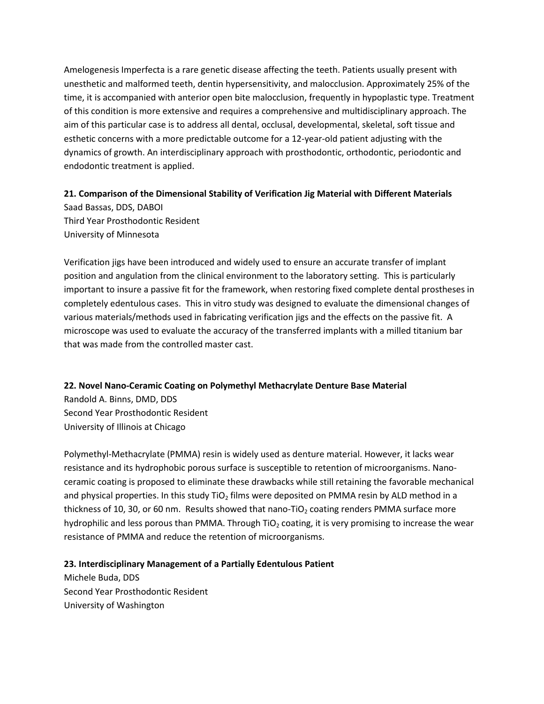Amelogenesis Imperfecta is a rare genetic disease affecting the teeth. Patients usually present with unesthetic and malformed teeth, dentin hypersensitivity, and malocclusion. Approximately 25% of the time, it is accompanied with anterior open bite malocclusion, frequently in hypoplastic type. Treatment of this condition is more extensive and requires a comprehensive and multidisciplinary approach. The aim of this particular case is to address all dental, occlusal, developmental, skeletal, soft tissue and esthetic concerns with a more predictable outcome for a 12-year-old patient adjusting with the dynamics of growth. An interdisciplinary approach with prosthodontic, orthodontic, periodontic and endodontic treatment is applied.

# **21. Comparison of the Dimensional Stability of Verification Jig Material with Different Materials**

Saad Bassas, DDS, DABOI Third Year Prosthodontic Resident University of Minnesota

Verification jigs have been introduced and widely used to ensure an accurate transfer of implant position and angulation from the clinical environment to the laboratory setting. This is particularly important to insure a passive fit for the framework, when restoring fixed complete dental prostheses in completely edentulous cases. This in vitro study was designed to evaluate the dimensional changes of various materials/methods used in fabricating verification jigs and the effects on the passive fit. A microscope was used to evaluate the accuracy of the transferred implants with a milled titanium bar that was made from the controlled master cast.

#### **22. Novel Nano-Ceramic Coating on Polymethyl Methacrylate Denture Base Material**

Randold A. Binns, DMD, DDS Second Year Prosthodontic Resident University of Illinois at Chicago

Polymethyl-Methacrylate (PMMA) resin is widely used as denture material. However, it lacks wear resistance and its hydrophobic porous surface is susceptible to retention of microorganisms. Nanoceramic coating is proposed to eliminate these drawbacks while still retaining the favorable mechanical and physical properties. In this study  $TiO<sub>2</sub>$  films were deposited on PMMA resin by ALD method in a thickness of 10, 30, or 60 nm. Results showed that nano-TiO<sub>2</sub> coating renders PMMA surface more hydrophilic and less porous than PMMA. Through TiO<sub>2</sub> coating, it is very promising to increase the wear resistance of PMMA and reduce the retention of microorganisms.

#### **23. Interdisciplinary Management of a Partially Edentulous Patient**

Michele Buda, DDS Second Year Prosthodontic Resident University of Washington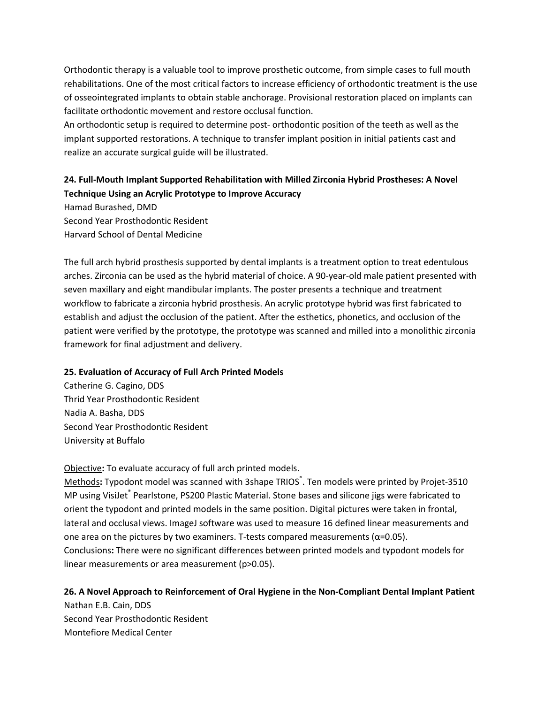Orthodontic therapy is a valuable tool to improve prosthetic outcome, from simple cases to full mouth rehabilitations. One of the most critical factors to increase efficiency of orthodontic treatment is the use of osseointegrated implants to obtain stable anchorage. Provisional restoration placed on implants can facilitate orthodontic movement and restore occlusal function.

An orthodontic setup is required to determine post- orthodontic position of the teeth as well as the implant supported restorations. A technique to transfer implant position in initial patients cast and realize an accurate surgical guide will be illustrated.

# **24. Full-Mouth Implant Supported Rehabilitation with Milled Zirconia Hybrid Prostheses: A Novel Technique Using an Acrylic Prototype to Improve Accuracy**

Hamad Burashed, DMD Second Year Prosthodontic Resident Harvard School of Dental Medicine

The full arch hybrid prosthesis supported by dental implants is a treatment option to treat edentulous arches. Zirconia can be used as the hybrid material of choice. A 90-year-old male patient presented with seven maxillary and eight mandibular implants. The poster presents a technique and treatment workflow to fabricate a zirconia hybrid prosthesis. An acrylic prototype hybrid was first fabricated to establish and adjust the occlusion of the patient. After the esthetics, phonetics, and occlusion of the patient were verified by the prototype, the prototype was scanned and milled into a monolithic zirconia framework for final adjustment and delivery.

#### **25. Evaluation of Accuracy of Full Arch Printed Models**

Catherine G. Cagino, DDS Thrid Year Prosthodontic Resident Nadia A. Basha, DDS Second Year Prosthodontic Resident University at Buffalo

#### Objective**:** To evaluate accuracy of full arch printed models.

Methods**:** Typodont model was scanned with 3shape TRIOS® . Ten models were printed by Projet-3510 MP using VisiJet® Pearlstone, PS200 Plastic Material. Stone bases and silicone jigs were fabricated to orient the typodont and printed models in the same position. Digital pictures were taken in frontal, lateral and occlusal views. ImageJ software was used to measure 16 defined linear measurements and one area on the pictures by two examiners. T-tests compared measurements ( $\alpha$ =0.05). Conclusions**:** There were no significant differences between printed models and typodont models for linear measurements or area measurement (p>0.05).

#### **26. A Novel Approach to Reinforcement of Oral Hygiene in the Non-Compliant Dental Implant Patient**

Nathan E.B. Cain, DDS Second Year Prosthodontic Resident Montefiore Medical Center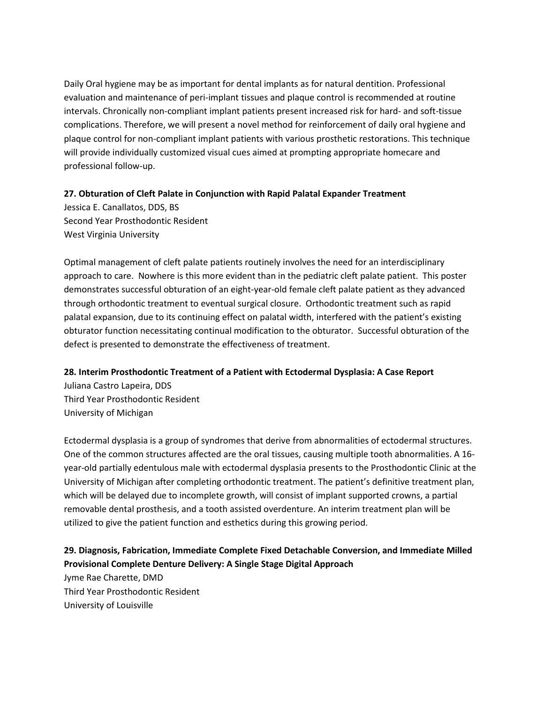Daily Oral hygiene may be as important for dental implants as for natural dentition. Professional evaluation and maintenance of peri-implant tissues and plaque control is recommended at routine intervals. Chronically non-compliant implant patients present increased risk for hard- and soft-tissue complications. Therefore, we will present a novel method for reinforcement of daily oral hygiene and plaque control for non-compliant implant patients with various prosthetic restorations. This technique will provide individually customized visual cues aimed at prompting appropriate homecare and professional follow-up.

#### **27. Obturation of Cleft Palate in Conjunction with Rapid Palatal Expander Treatment**

Jessica E. Canallatos, DDS, BS Second Year Prosthodontic Resident West Virginia University

Optimal management of cleft palate patients routinely involves the need for an interdisciplinary approach to care. Nowhere is this more evident than in the pediatric cleft palate patient. This poster demonstrates successful obturation of an eight-year-old female cleft palate patient as they advanced through orthodontic treatment to eventual surgical closure. Orthodontic treatment such as rapid palatal expansion, due to its continuing effect on palatal width, interfered with the patient's existing obturator function necessitating continual modification to the obturator. Successful obturation of the defect is presented to demonstrate the effectiveness of treatment.

#### **28. Interim Prosthodontic Treatment of a Patient with Ectodermal Dysplasia: A Case Report**

Juliana Castro Lapeira, DDS Third Year Prosthodontic Resident University of Michigan

Ectodermal dysplasia is a group of syndromes that derive from abnormalities of ectodermal structures. One of the common structures affected are the oral tissues, causing multiple tooth abnormalities. A 16 year-old partially edentulous male with ectodermal dysplasia presents to the Prosthodontic Clinic at the University of Michigan after completing orthodontic treatment. The patient's definitive treatment plan, which will be delayed due to incomplete growth, will consist of implant supported crowns, a partial removable dental prosthesis, and a tooth assisted overdenture. An interim treatment plan will be utilized to give the patient function and esthetics during this growing period.

# **29. Diagnosis, Fabrication, Immediate Complete Fixed Detachable Conversion, and Immediate Milled Provisional Complete Denture Delivery: A Single Stage Digital Approach**

Jyme Rae Charette, DMD Third Year Prosthodontic Resident University of Louisville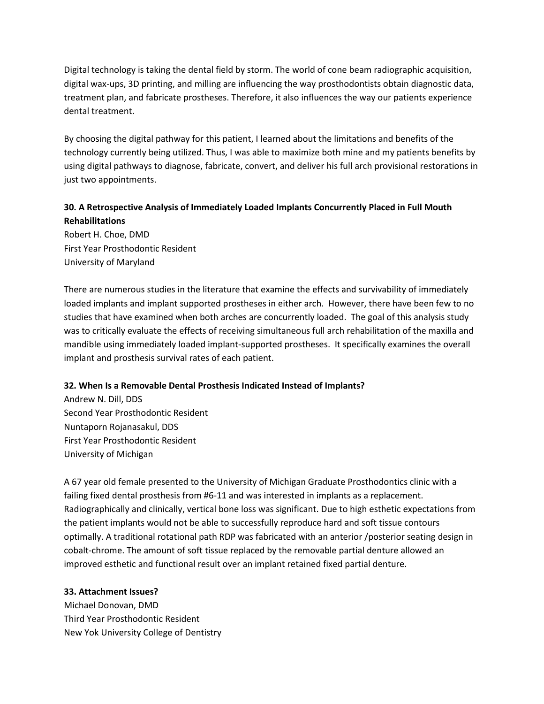Digital technology is taking the dental field by storm. The world of cone beam radiographic acquisition, digital wax-ups, 3D printing, and milling are influencing the way prosthodontists obtain diagnostic data, treatment plan, and fabricate prostheses. Therefore, it also influences the way our patients experience dental treatment.

By choosing the digital pathway for this patient, I learned about the limitations and benefits of the technology currently being utilized. Thus, I was able to maximize both mine and my patients benefits by using digital pathways to diagnose, fabricate, convert, and deliver his full arch provisional restorations in just two appointments.

# **30. A Retrospective Analysis of Immediately Loaded Implants Concurrently Placed in Full Mouth Rehabilitations**

Robert H. Choe, DMD First Year Prosthodontic Resident University of Maryland

There are numerous studies in the literature that examine the effects and survivability of immediately loaded implants and implant supported prostheses in either arch. However, there have been few to no studies that have examined when both arches are concurrently loaded. The goal of this analysis study was to critically evaluate the effects of receiving simultaneous full arch rehabilitation of the maxilla and mandible using immediately loaded implant-supported prostheses. It specifically examines the overall implant and prosthesis survival rates of each patient.

#### **32. When Is a Removable Dental Prosthesis Indicated Instead of Implants?**

Andrew N. Dill, DDS Second Year Prosthodontic Resident Nuntaporn Rojanasakul, DDS First Year Prosthodontic Resident University of Michigan

A 67 year old female presented to the University of Michigan Graduate Prosthodontics clinic with a failing fixed dental prosthesis from #6-11 and was interested in implants as a replacement. Radiographically and clinically, vertical bone loss was significant. Due to high esthetic expectations from the patient implants would not be able to successfully reproduce hard and soft tissue contours optimally. A traditional rotational path RDP was fabricated with an anterior /posterior seating design in cobalt-chrome. The amount of soft tissue replaced by the removable partial denture allowed an improved esthetic and functional result over an implant retained fixed partial denture.

#### **33. Attachment Issues?**

Michael Donovan, DMD Third Year Prosthodontic Resident New Yok University College of Dentistry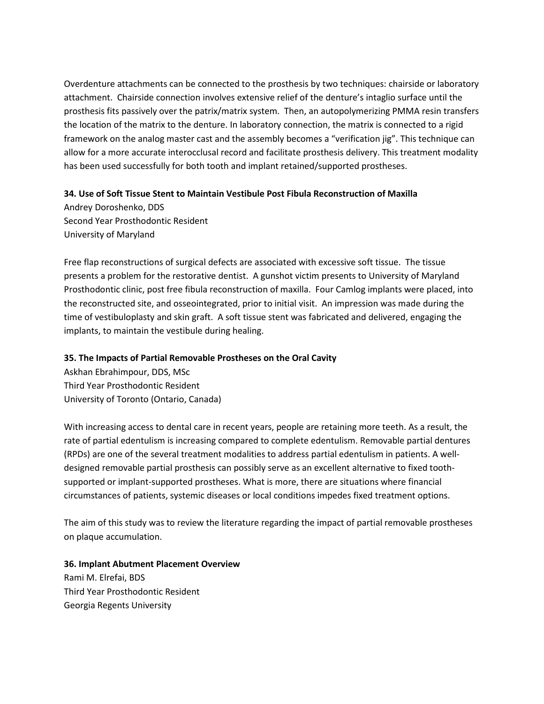Overdenture attachments can be connected to the prosthesis by two techniques: chairside or laboratory attachment. Chairside connection involves extensive relief of the denture's intaglio surface until the prosthesis fits passively over the patrix/matrix system. Then, an autopolymerizing PMMA resin transfers the location of the matrix to the denture. In laboratory connection, the matrix is connected to a rigid framework on the analog master cast and the assembly becomes a "verification jig". This technique can allow for a more accurate interocclusal record and facilitate prosthesis delivery. This treatment modality has been used successfully for both tooth and implant retained/supported prostheses.

#### **34. Use of Soft Tissue Stent to Maintain Vestibule Post Fibula Reconstruction of Maxilla**

Andrey Doroshenko, DDS Second Year Prosthodontic Resident University of Maryland

Free flap reconstructions of surgical defects are associated with excessive soft tissue. The tissue presents a problem for the restorative dentist. A gunshot victim presents to University of Maryland Prosthodontic clinic, post free fibula reconstruction of maxilla. Four Camlog implants were placed, into the reconstructed site, and osseointegrated, prior to initial visit. An impression was made during the time of vestibuloplasty and skin graft. A soft tissue stent was fabricated and delivered, engaging the implants, to maintain the vestibule during healing.

#### **35. The Impacts of Partial Removable Prostheses on the Oral Cavity**

Askhan Ebrahimpour, DDS, MSc Third Year Prosthodontic Resident University of Toronto (Ontario, Canada)

With increasing access to dental care in recent years, people are retaining more teeth. As a result, the rate of partial edentulism is increasing compared to complete edentulism. Removable partial dentures (RPDs) are one of the several treatment modalities to address partial edentulism in patients. A welldesigned removable partial prosthesis can possibly serve as an excellent alternative to fixed toothsupported or implant-supported prostheses. What is more, there are situations where financial circumstances of patients, systemic diseases or local conditions impedes fixed treatment options.

The aim of this study was to review the literature regarding the impact of partial removable prostheses on plaque accumulation.

**36. Implant Abutment Placement Overview** Rami M. Elrefai, BDS Third Year Prosthodontic Resident Georgia Regents University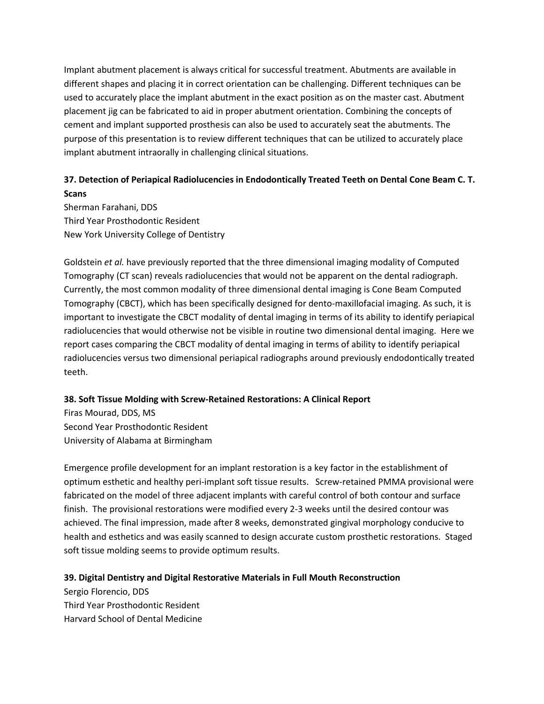Implant abutment placement is always critical for successful treatment. Abutments are available in different shapes and placing it in correct orientation can be challenging. Different techniques can be used to accurately place the implant abutment in the exact position as on the master cast. Abutment placement jig can be fabricated to aid in proper abutment orientation. Combining the concepts of cement and implant supported prosthesis can also be used to accurately seat the abutments. The purpose of this presentation is to review different techniques that can be utilized to accurately place implant abutment intraorally in challenging clinical situations.

# **37. Detection of Periapical Radiolucencies in Endodontically Treated Teeth on Dental Cone Beam C. T. Scans**

Sherman Farahani, DDS Third Year Prosthodontic Resident New York University College of Dentistry

Goldstein *et al.* have previously reported that the three dimensional imaging modality of Computed Tomography (CT scan) reveals radiolucencies that would not be apparent on the dental radiograph. Currently, the most common modality of three dimensional dental imaging is Cone Beam Computed Tomography (CBCT), which has been specifically designed for dento-maxillofacial imaging. As such, it is important to investigate the CBCT modality of dental imaging in terms of its ability to identify periapical radiolucencies that would otherwise not be visible in routine two dimensional dental imaging. Here we report cases comparing the CBCT modality of dental imaging in terms of ability to identify periapical radiolucencies versus two dimensional periapical radiographs around previously endodontically treated teeth.

#### **38. Soft Tissue Molding with Screw-Retained Restorations: A Clinical Report**

Firas Mourad, DDS, MS Second Year Prosthodontic Resident University of Alabama at Birmingham

Emergence profile development for an implant restoration is a key factor in the establishment of optimum esthetic and healthy peri-implant soft tissue results. Screw-retained PMMA provisional were fabricated on the model of three adjacent implants with careful control of both contour and surface finish. The provisional restorations were modified every 2-3 weeks until the desired contour was achieved. The final impression, made after 8 weeks, demonstrated gingival morphology conducive to health and esthetics and was easily scanned to design accurate custom prosthetic restorations. Staged soft tissue molding seems to provide optimum results.

#### **39. Digital Dentistry and Digital Restorative Materials in Full Mouth Reconstruction**

Sergio Florencio, DDS Third Year Prosthodontic Resident Harvard School of Dental Medicine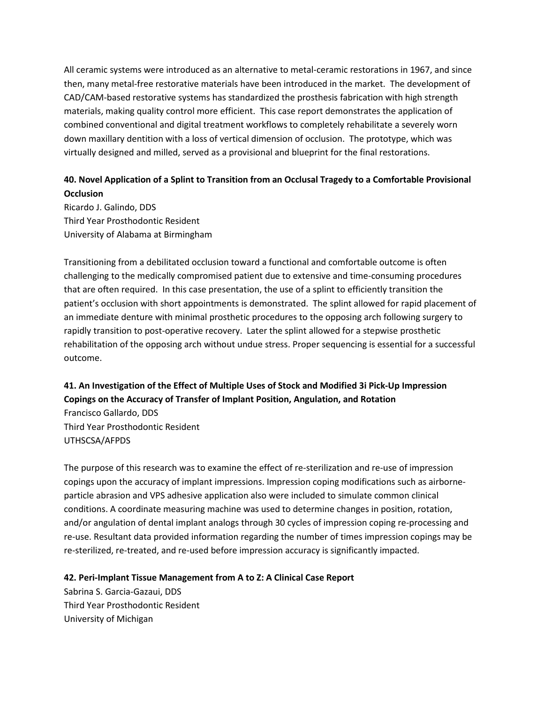All ceramic systems were introduced as an alternative to metal-ceramic restorations in 1967, and since then, many metal-free restorative materials have been introduced in the market. The development of CAD/CAM-based restorative systems has standardized the prosthesis fabrication with high strength materials, making quality control more efficient. This case report demonstrates the application of combined conventional and digital treatment workflows to completely rehabilitate a severely worn down maxillary dentition with a loss of vertical dimension of occlusion. The prototype, which was virtually designed and milled, served as a provisional and blueprint for the final restorations.

# **40. Novel Application of a Splint to Transition from an Occlusal Tragedy to a Comfortable Provisional Occlusion**

Ricardo J. Galindo, DDS Third Year Prosthodontic Resident University of Alabama at Birmingham

Transitioning from a debilitated occlusion toward a functional and comfortable outcome is often challenging to the medically compromised patient due to extensive and time-consuming procedures that are often required. In this case presentation, the use of a splint to efficiently transition the patient's occlusion with short appointments is demonstrated. The splint allowed for rapid placement of an immediate denture with minimal prosthetic procedures to the opposing arch following surgery to rapidly transition to post-operative recovery. Later the splint allowed for a stepwise prosthetic rehabilitation of the opposing arch without undue stress. Proper sequencing is essential for a successful outcome.

# **41. An Investigation of the Effect of Multiple Uses of Stock and Modified 3i Pick-Up Impression Copings on the Accuracy of Transfer of Implant Position, Angulation, and Rotation**

Francisco Gallardo, DDS Third Year Prosthodontic Resident UTHSCSA/AFPDS

The purpose of this research was to examine the effect of re-sterilization and re-use of impression copings upon the accuracy of implant impressions. Impression coping modifications such as airborneparticle abrasion and VPS adhesive application also were included to simulate common clinical conditions. A coordinate measuring machine was used to determine changes in position, rotation, and/or angulation of dental implant analogs through 30 cycles of impression coping re-processing and re-use. Resultant data provided information regarding the number of times impression copings may be re-sterilized, re-treated, and re-used before impression accuracy is significantly impacted.

#### **42. Peri-Implant Tissue Management from A to Z: A Clinical Case Report**

Sabrina S. Garcia-Gazaui, DDS Third Year Prosthodontic Resident University of Michigan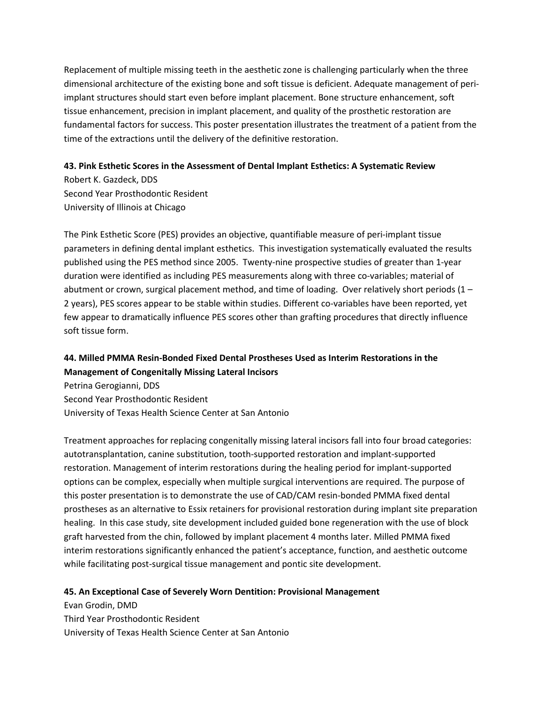Replacement of multiple missing teeth in the aesthetic zone is challenging particularly when the three dimensional architecture of the existing bone and soft tissue is deficient. Adequate management of periimplant structures should start even before implant placement. Bone structure enhancement, soft tissue enhancement, precision in implant placement, and quality of the prosthetic restoration are fundamental factors for success. This poster presentation illustrates the treatment of a patient from the time of the extractions until the delivery of the definitive restoration.

#### **43. Pink Esthetic Scores in the Assessment of Dental Implant Esthetics: A Systematic Review**

Robert K. Gazdeck, DDS Second Year Prosthodontic Resident University of Illinois at Chicago

The Pink Esthetic Score (PES) provides an objective, quantifiable measure of peri-implant tissue parameters in defining dental implant esthetics. This investigation systematically evaluated the results published using the PES method since 2005. Twenty-nine prospective studies of greater than 1-year duration were identified as including PES measurements along with three co-variables; material of abutment or crown, surgical placement method, and time of loading. Over relatively short periods (1 – 2 years), PES scores appear to be stable within studies. Different co-variables have been reported, yet few appear to dramatically influence PES scores other than grafting procedures that directly influence soft tissue form.

# **44. Milled PMMA Resin-Bonded Fixed Dental Prostheses Used as Interim Restorations in the Management of Congenitally Missing Lateral Incisors**

Petrina Gerogianni, DDS Second Year Prosthodontic Resident University of Texas Health Science Center at San Antonio

Treatment approaches for replacing congenitally missing lateral incisors fall into four broad categories: autotransplantation, canine substitution, tooth-supported restoration and implant-supported restoration. Management of interim restorations during the healing period for implant-supported options can be complex, especially when multiple surgical interventions are required. The purpose of this poster presentation is to demonstrate the use of CAD/CAM resin-bonded PMMA fixed dental prostheses as an alternative to Essix retainers for provisional restoration during implant site preparation healing. In this case study, site development included guided bone regeneration with the use of block graft harvested from the chin, followed by implant placement 4 months later. Milled PMMA fixed interim restorations significantly enhanced the patient's acceptance, function, and aesthetic outcome while facilitating post-surgical tissue management and pontic site development.

#### **45. An Exceptional Case of Severely Worn Dentition: Provisional Management**

Evan Grodin, DMD Third Year Prosthodontic Resident University of Texas Health Science Center at San Antonio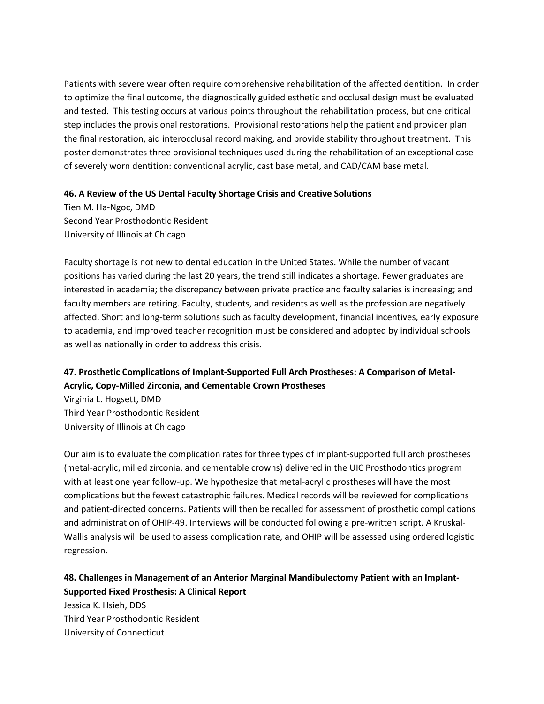Patients with severe wear often require comprehensive rehabilitation of the affected dentition. In order to optimize the final outcome, the diagnostically guided esthetic and occlusal design must be evaluated and tested. This testing occurs at various points throughout the rehabilitation process, but one critical step includes the provisional restorations. Provisional restorations help the patient and provider plan the final restoration, aid interocclusal record making, and provide stability throughout treatment. This poster demonstrates three provisional techniques used during the rehabilitation of an exceptional case of severely worn dentition: conventional acrylic, cast base metal, and CAD/CAM base metal.

#### **46. A Review of the US Dental Faculty Shortage Crisis and Creative Solutions**

Tien M. Ha-Ngoc, DMD Second Year Prosthodontic Resident University of Illinois at Chicago

Faculty shortage is not new to dental education in the United States. While the number of vacant positions has varied during the last 20 years, the trend still indicates a shortage. Fewer graduates are interested in academia; the discrepancy between private practice and faculty salaries is increasing; and faculty members are retiring. Faculty, students, and residents as well as the profession are negatively affected. Short and long-term solutions such as faculty development, financial incentives, early exposure to academia, and improved teacher recognition must be considered and adopted by individual schools as well as nationally in order to address this crisis.

### **47. Prosthetic Complications of Implant-Supported Full Arch Prostheses: A Comparison of Metal-Acrylic, Copy-Milled Zirconia, and Cementable Crown Prostheses**

Virginia L. Hogsett, DMD Third Year Prosthodontic Resident University of Illinois at Chicago

Our aim is to evaluate the complication rates for three types of implant-supported full arch prostheses (metal-acrylic, milled zirconia, and cementable crowns) delivered in the UIC Prosthodontics program with at least one year follow-up. We hypothesize that metal-acrylic prostheses will have the most complications but the fewest catastrophic failures. Medical records will be reviewed for complications and patient-directed concerns. Patients will then be recalled for assessment of prosthetic complications and administration of OHIP-49. Interviews will be conducted following a pre-written script. A Kruskal-Wallis analysis will be used to assess complication rate, and OHIP will be assessed using ordered logistic regression.

# **48. Challenges in Management of an Anterior Marginal Mandibulectomy Patient with an Implant-Supported Fixed Prosthesis: A Clinical Report**

Jessica K. Hsieh, DDS Third Year Prosthodontic Resident University of Connecticut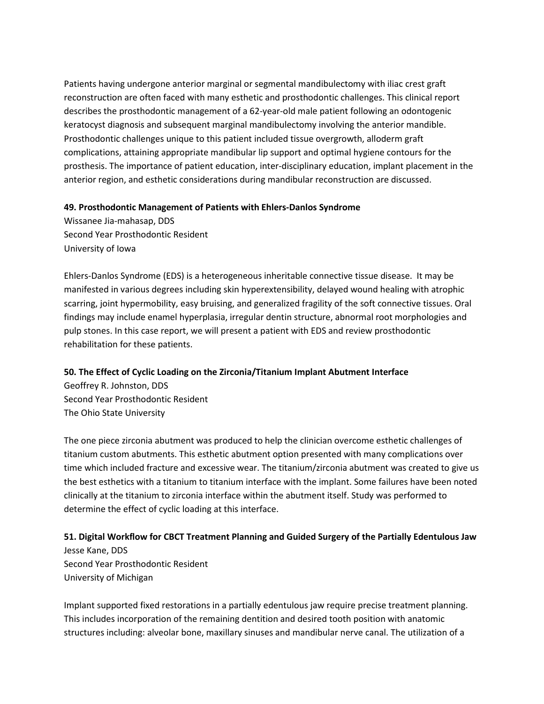Patients having undergone anterior marginal or segmental mandibulectomy with iliac crest graft reconstruction are often faced with many esthetic and prosthodontic challenges. This clinical report describes the prosthodontic management of a 62-year-old male patient following an odontogenic keratocyst diagnosis and subsequent marginal mandibulectomy involving the anterior mandible. Prosthodontic challenges unique to this patient included tissue overgrowth, alloderm graft complications, attaining appropriate mandibular lip support and optimal hygiene contours for the prosthesis. The importance of patient education, inter-disciplinary education, implant placement in the anterior region, and esthetic considerations during mandibular reconstruction are discussed.

#### **49. Prosthodontic Management of Patients with Ehlers-Danlos Syndrome**

Wissanee Jia-mahasap, DDS Second Year Prosthodontic Resident University of Iowa

Ehlers-Danlos Syndrome (EDS) is a heterogeneous inheritable connective tissue disease. It may be manifested in various degrees including skin hyperextensibility, delayed wound healing with atrophic scarring, joint hypermobility, easy bruising, and generalized fragility of the soft connective tissues. Oral findings may include enamel hyperplasia, irregular dentin structure, abnormal root morphologies and pulp stones. In this case report, we will present a patient with EDS and review prosthodontic rehabilitation for these patients.

#### **50. The Effect of Cyclic Loading on the Zirconia/Titanium Implant Abutment Interface**

Geoffrey R. Johnston, DDS Second Year Prosthodontic Resident The Ohio State University

The one piece zirconia abutment was produced to help the clinician overcome esthetic challenges of titanium custom abutments. This esthetic abutment option presented with many complications over time which included fracture and excessive wear. The titanium/zirconia abutment was created to give us the best esthetics with a titanium to titanium interface with the implant. Some failures have been noted clinically at the titanium to zirconia interface within the abutment itself. Study was performed to determine the effect of cyclic loading at this interface.

#### **51. Digital Workflow for CBCT Treatment Planning and Guided Surgery of the Partially Edentulous Jaw**

Jesse Kane, DDS Second Year Prosthodontic Resident University of Michigan

Implant supported fixed restorations in a partially edentulous jaw require precise treatment planning. This includes incorporation of the remaining dentition and desired tooth position with anatomic structures including: alveolar bone, maxillary sinuses and mandibular nerve canal. The utilization of a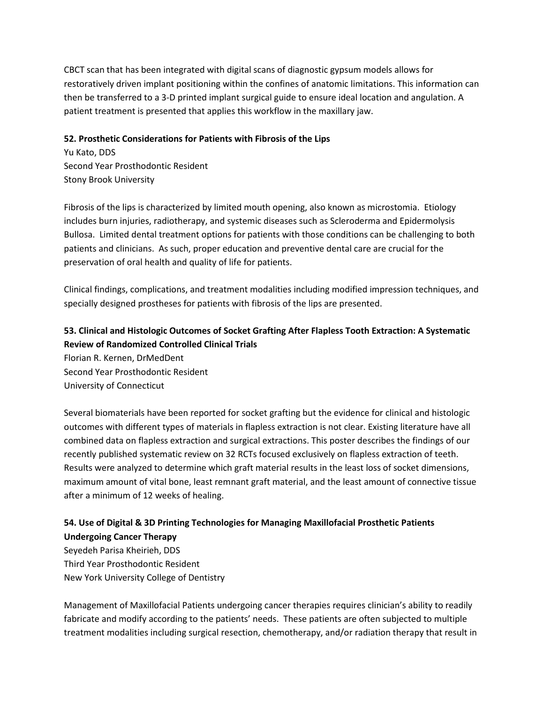CBCT scan that has been integrated with digital scans of diagnostic gypsum models allows for restoratively driven implant positioning within the confines of anatomic limitations. This information can then be transferred to a 3-D printed implant surgical guide to ensure ideal location and angulation. A patient treatment is presented that applies this workflow in the maxillary jaw.

#### **52. Prosthetic Considerations for Patients with Fibrosis of the Lips**

Yu Kato, DDS Second Year Prosthodontic Resident Stony Brook University

Fibrosis of the lips is characterized by limited mouth opening, also known as microstomia. Etiology includes burn injuries, radiotherapy, and systemic diseases such as Scleroderma and Epidermolysis Bullosa. Limited dental treatment options for patients with those conditions can be challenging to both patients and clinicians. As such, proper education and preventive dental care are crucial for the preservation of oral health and quality of life for patients.

Clinical findings, complications, and treatment modalities including modified impression techniques, and specially designed prostheses for patients with fibrosis of the lips are presented.

# **53. Clinical and Histologic Outcomes of Socket Grafting After Flapless Tooth Extraction: A Systematic Review of Randomized Controlled Clinical Trials**

Florian R. Kernen, DrMedDent Second Year Prosthodontic Resident University of Connecticut

Several biomaterials have been reported for socket grafting but the evidence for clinical and histologic outcomes with different types of materials in flapless extraction is not clear. Existing literature have all combined data on flapless extraction and surgical extractions. This poster describes the findings of our recently published systematic review on 32 RCTs focused exclusively on flapless extraction of teeth. Results were analyzed to determine which graft material results in the least loss of socket dimensions, maximum amount of vital bone, least remnant graft material, and the least amount of connective tissue after a minimum of 12 weeks of healing.

### **54. Use of Digital & 3D Printing Technologies for Managing Maxillofacial Prosthetic Patients Undergoing Cancer Therapy**

Seyedeh Parisa Kheirieh, DDS Third Year Prosthodontic Resident New York University College of Dentistry

Management of Maxillofacial Patients undergoing cancer therapies requires clinician's ability to readily fabricate and modify according to the patients' needs. These patients are often subjected to multiple treatment modalities including surgical resection, chemotherapy, and/or radiation therapy that result in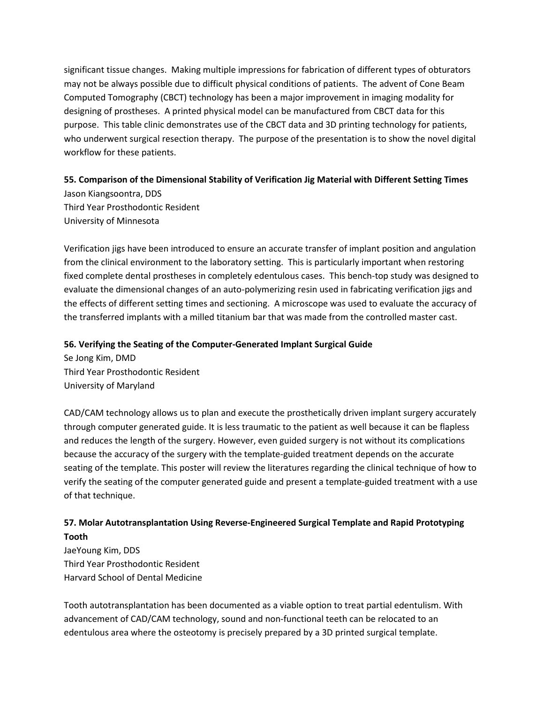significant tissue changes. Making multiple impressions for fabrication of different types of obturators may not be always possible due to difficult physical conditions of patients. The advent of Cone Beam Computed Tomography (CBCT) technology has been a major improvement in imaging modality for designing of prostheses. A printed physical model can be manufactured from CBCT data for this purpose. This table clinic demonstrates use of the CBCT data and 3D printing technology for patients, who underwent surgical resection therapy. The purpose of the presentation is to show the novel digital workflow for these patients.

#### **55. Comparison of the Dimensional Stability of Verification Jig Material with Different Setting Times**

Jason Kiangsoontra, DDS Third Year Prosthodontic Resident University of Minnesota

Verification jigs have been introduced to ensure an accurate transfer of implant position and angulation from the clinical environment to the laboratory setting. This is particularly important when restoring fixed complete dental prostheses in completely edentulous cases. This bench-top study was designed to evaluate the dimensional changes of an auto-polymerizing resin used in fabricating verification jigs and the effects of different setting times and sectioning. A microscope was used to evaluate the accuracy of the transferred implants with a milled titanium bar that was made from the controlled master cast.

#### **56. Verifying the Seating of the Computer-Generated Implant Surgical Guide**

Se Jong Kim, DMD Third Year Prosthodontic Resident University of Maryland

CAD/CAM technology allows us to plan and execute the prosthetically driven implant surgery accurately through computer generated guide. It is less traumatic to the patient as well because it can be flapless and reduces the length of the surgery. However, even guided surgery is not without its complications because the accuracy of the surgery with the template-guided treatment depends on the accurate seating of the template. This poster will review the literatures regarding the clinical technique of how to verify the seating of the computer generated guide and present a template-guided treatment with a use of that technique.

### **57. Molar Autotransplantation Using Reverse-Engineered Surgical Template and Rapid Prototyping Tooth**

JaeYoung Kim, DDS Third Year Prosthodontic Resident Harvard School of Dental Medicine

Tooth autotransplantation has been documented as a viable option to treat partial edentulism. With advancement of CAD/CAM technology, sound and non-functional teeth can be relocated to an edentulous area where the osteotomy is precisely prepared by a 3D printed surgical template.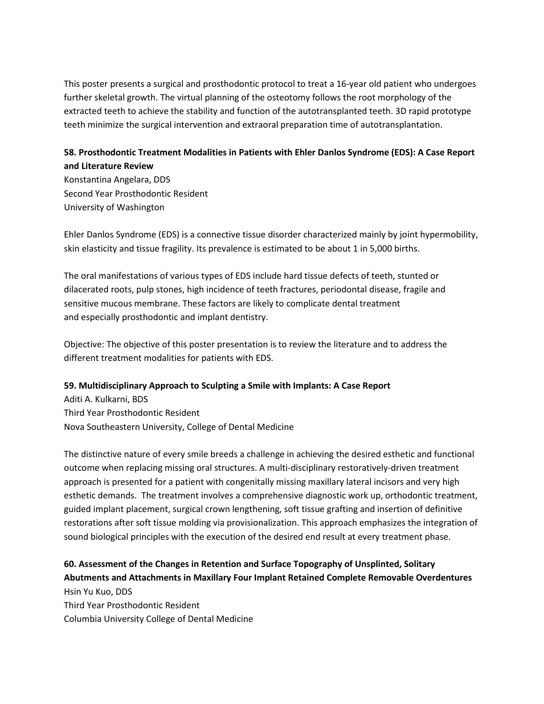This poster presents a surgical and prosthodontic protocol to treat a 16-year old patient who undergoes further skeletal growth. The virtual planning of the osteotomy follows the root morphology of the extracted teeth to achieve the stability and function of the autotransplanted teeth. 3D rapid prototype teeth minimize the surgical intervention and extraoral preparation time of autotransplantation.

### **58. Prosthodontic Treatment Modalities in Patients with Ehler Danlos Syndrome (EDS): A Case Report and Literature Review**

Konstantina Angelara, DDS Second Year Prosthodontic Resident University of Washington

Ehler Danlos Syndrome (EDS) is a connective tissue disorder characterized mainly by joint hypermobility, skin elasticity and tissue fragility. Its prevalence is estimated to be about 1 in 5,000 births.

The oral manifestations of various types of EDS include hard tissue defects of teeth, stunted or dilacerated roots, pulp stones, high incidence of teeth fractures, periodontal disease, fragile and sensitive mucous membrane. These factors are likely to complicate dental treatment and especially prosthodontic and implant dentistry.

Objective: The objective of this poster presentation is to review the literature and to address the different treatment modalities for patients with EDS.

#### **59. Multidisciplinary Approach to Sculpting a Smile with Implants: A Case Report**

Aditi A. Kulkarni, BDS Third Year Prosthodontic Resident Nova Southeastern University, College of Dental Medicine

The distinctive nature of every smile breeds a challenge in achieving the desired esthetic and functional outcome when replacing missing oral structures. A multi-disciplinary restoratively-driven treatment approach is presented for a patient with congenitally missing maxillary lateral incisors and very high esthetic demands. The treatment involves a comprehensive diagnostic work up, orthodontic treatment, guided implant placement, surgical crown lengthening, soft tissue grafting and insertion of definitive restorations after soft tissue molding via provisionalization. This approach emphasizes the integration of sound biological principles with the execution of the desired end result at every treatment phase.

### **60. Assessment of the Changes in Retention and Surface Topography of Unsplinted, Solitary Abutments and Attachments in Maxillary Four Implant Retained Complete Removable Overdentures** Hsin Yu Kuo, DDS

Third Year Prosthodontic Resident Columbia University College of Dental Medicine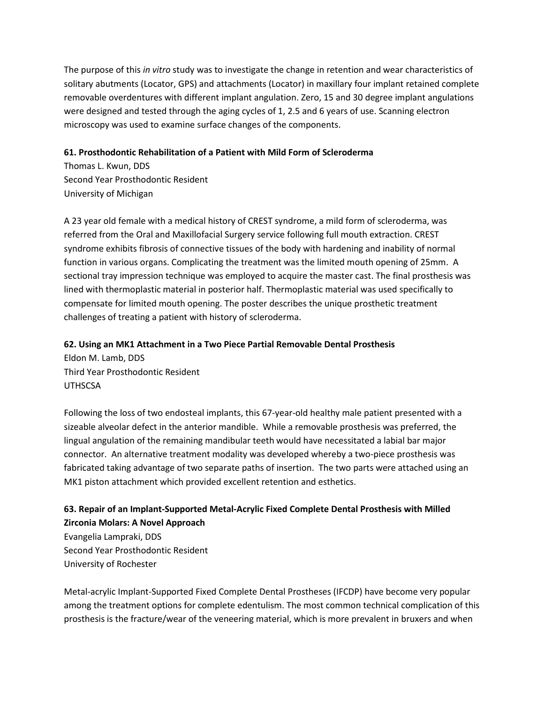The purpose of this *in vitro* study was to investigate the change in retention and wear characteristics of solitary abutments (Locator, GPS) and attachments (Locator) in maxillary four implant retained complete removable overdentures with different implant angulation. Zero, 15 and 30 degree implant angulations were designed and tested through the aging cycles of 1, 2.5 and 6 years of use. Scanning electron microscopy was used to examine surface changes of the components.

#### **61. Prosthodontic Rehabilitation of a Patient with Mild Form of Scleroderma**

Thomas L. Kwun, DDS Second Year Prosthodontic Resident University of Michigan

A 23 year old female with a medical history of CREST syndrome, a mild form of scleroderma, was referred from the Oral and Maxillofacial Surgery service following full mouth extraction. CREST syndrome exhibits fibrosis of connective tissues of the body with hardening and inability of normal function in various organs. Complicating the treatment was the limited mouth opening of 25mm. A sectional tray impression technique was employed to acquire the master cast. The final prosthesis was lined with thermoplastic material in posterior half. Thermoplastic material was used specifically to compensate for limited mouth opening. The poster describes the unique prosthetic treatment challenges of treating a patient with history of scleroderma.

#### **62. Using an MK1 Attachment in a Two Piece Partial Removable Dental Prosthesis**

Eldon M. Lamb, DDS Third Year Prosthodontic Resident UTHSCSA

Following the loss of two endosteal implants, this 67-year-old healthy male patient presented with a sizeable alveolar defect in the anterior mandible. While a removable prosthesis was preferred, the lingual angulation of the remaining mandibular teeth would have necessitated a labial bar major connector. An alternative treatment modality was developed whereby a two-piece prosthesis was fabricated taking advantage of two separate paths of insertion. The two parts were attached using an MK1 piston attachment which provided excellent retention and esthetics.

### **63. Repair of an Implant-Supported Metal-Acrylic Fixed Complete Dental Prosthesis with Milled Zirconia Molars: A Novel Approach**

Evangelia Lampraki, DDS Second Year Prosthodontic Resident University of Rochester

Metal-acrylic Implant-Supported Fixed Complete Dental Prostheses (IFCDP) have become very popular among the treatment options for complete edentulism. The most common technical complication of this prosthesis is the fracture/wear of the veneering material, which is more prevalent in bruxers and when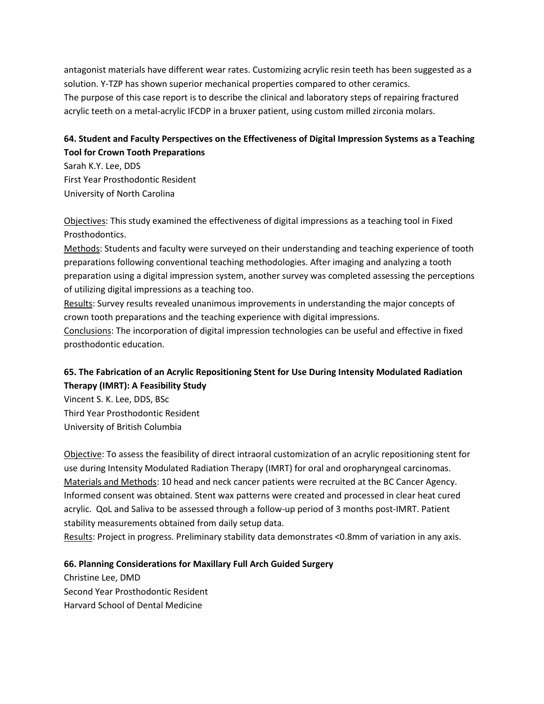antagonist materials have different wear rates. Customizing acrylic resin teeth has been suggested as a solution. Y-TZP has shown superior mechanical properties compared to other ceramics. The purpose of this case report is to describe the clinical and laboratory steps of repairing fractured acrylic teeth on a metal-acrylic IFCDP in a bruxer patient, using custom milled zirconia molars.

### **64. Student and Faculty Perspectives on the Effectiveness of Digital Impression Systems as a Teaching Tool for Crown Tooth Preparations**

Sarah K.Y. Lee, DDS First Year Prosthodontic Resident University of North Carolina

Objectives: This study examined the effectiveness of digital impressions as a teaching tool in Fixed Prosthodontics.

Methods: Students and faculty were surveyed on their understanding and teaching experience of tooth preparations following conventional teaching methodologies. After imaging and analyzing a tooth preparation using a digital impression system, another survey was completed assessing the perceptions of utilizing digital impressions as a teaching too.

Results: Survey results revealed unanimous improvements in understanding the major concepts of crown tooth preparations and the teaching experience with digital impressions.

Conclusions: The incorporation of digital impression technologies can be useful and effective in fixed prosthodontic education.

# **65. The Fabrication of an Acrylic Repositioning Stent for Use During Intensity Modulated Radiation Therapy (IMRT): A Feasibility Study**

Vincent S. K. Lee, DDS, BSc Third Year Prosthodontic Resident University of British Columbia

Objective: To assess the feasibility of direct intraoral customization of an acrylic repositioning stent for use during Intensity Modulated Radiation Therapy (IMRT) for oral and oropharyngeal carcinomas. Materials and Methods: 10 head and neck cancer patients were recruited at the BC Cancer Agency. Informed consent was obtained. Stent wax patterns were created and processed in clear heat cured acrylic. QoL and Saliva to be assessed through a follow-up period of 3 months post-IMRT. Patient stability measurements obtained from daily setup data.

Results: Project in progress. Preliminary stability data demonstrates <0.8mm of variation in any axis.

#### **66. Planning Considerations for Maxillary Full Arch Guided Surgery**

Christine Lee, DMD Second Year Prosthodontic Resident Harvard School of Dental Medicine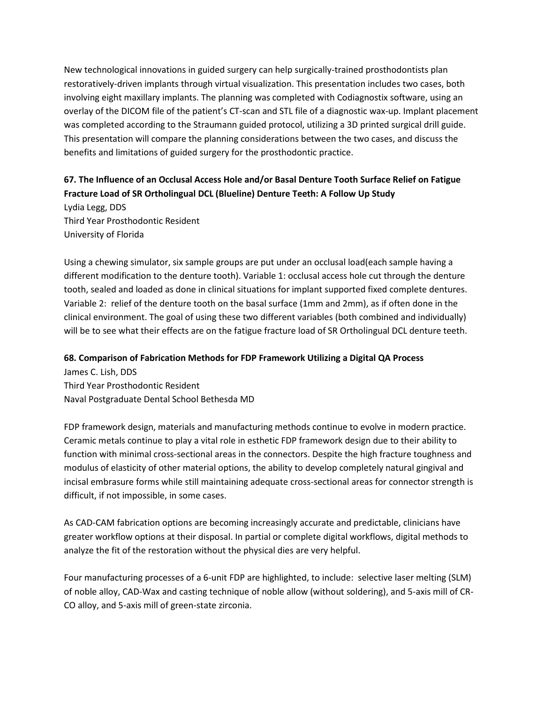New technological innovations in guided surgery can help surgically-trained prosthodontists plan restoratively-driven implants through virtual visualization. This presentation includes two cases, both involving eight maxillary implants. The planning was completed with Codiagnostix software, using an overlay of the DICOM file of the patient's CT-scan and STL file of a diagnostic wax-up. Implant placement was completed according to the Straumann guided protocol, utilizing a 3D printed surgical drill guide. This presentation will compare the planning considerations between the two cases, and discuss the benefits and limitations of guided surgery for the prosthodontic practice.

# **67. The Influence of an Occlusal Access Hole and/or Basal Denture Tooth Surface Relief on Fatigue Fracture Load of SR Ortholingual DCL (Blueline) Denture Teeth: A Follow Up Study**

Lydia Legg, DDS Third Year Prosthodontic Resident University of Florida

Using a chewing simulator, six sample groups are put under an occlusal load(each sample having a different modification to the denture tooth). Variable 1: occlusal access hole cut through the denture tooth, sealed and loaded as done in clinical situations for implant supported fixed complete dentures. Variable 2: relief of the denture tooth on the basal surface (1mm and 2mm), as if often done in the clinical environment. The goal of using these two different variables (both combined and individually) will be to see what their effects are on the fatigue fracture load of SR Ortholingual DCL denture teeth.

#### **68. Comparison of Fabrication Methods for FDP Framework Utilizing a Digital QA Process**

James C. Lish, DDS Third Year Prosthodontic Resident Naval Postgraduate Dental School Bethesda MD

FDP framework design, materials and manufacturing methods continue to evolve in modern practice. Ceramic metals continue to play a vital role in esthetic FDP framework design due to their ability to function with minimal cross-sectional areas in the connectors. Despite the high fracture toughness and modulus of elasticity of other material options, the ability to develop completely natural gingival and incisal embrasure forms while still maintaining adequate cross-sectional areas for connector strength is difficult, if not impossible, in some cases.

As CAD-CAM fabrication options are becoming increasingly accurate and predictable, clinicians have greater workflow options at their disposal. In partial or complete digital workflows, digital methods to analyze the fit of the restoration without the physical dies are very helpful.

Four manufacturing processes of a 6-unit FDP are highlighted, to include: selective laser melting (SLM) of noble alloy, CAD-Wax and casting technique of noble allow (without soldering), and 5-axis mill of CR-CO alloy, and 5-axis mill of green-state zirconia.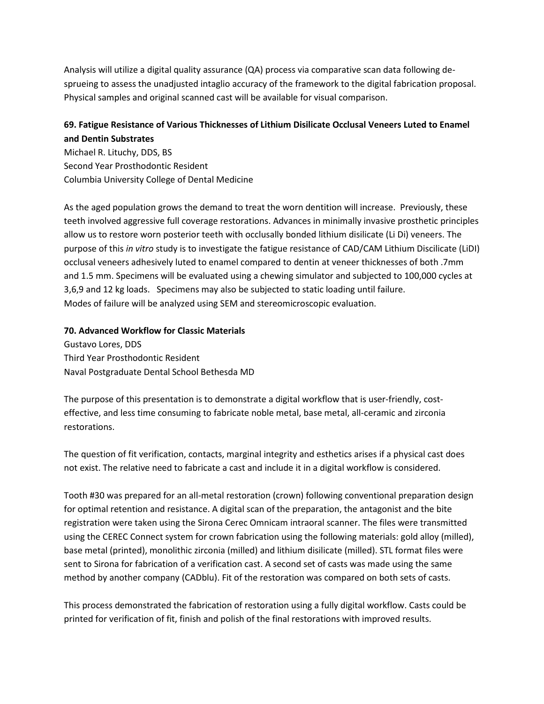Analysis will utilize a digital quality assurance (QA) process via comparative scan data following desprueing to assess the unadjusted intaglio accuracy of the framework to the digital fabrication proposal. Physical samples and original scanned cast will be available for visual comparison.

### **69. Fatigue Resistance of Various Thicknesses of Lithium Disilicate Occlusal Veneers Luted to Enamel and Dentin Substrates**

Michael R. Lituchy, DDS, BS Second Year Prosthodontic Resident Columbia University College of Dental Medicine

As the aged population grows the demand to treat the worn dentition will increase.Previously, these teeth involved aggressive full coverage restorations. Advances in minimally invasive prosthetic principles allow us to restore worn posterior teeth with occlusally bonded lithium disilicate (Li Di) veneers. The purpose of this *in vitro* study is to investigate the fatigue resistance of CAD/CAM Lithium Discilicate (LiDI) occlusal veneers adhesively luted to enamel compared to dentin at veneer thicknesses of both .7mm and 1.5 mm. Specimens will be evaluated using a chewing simulator and subjected to 100,000 cycles at 3,6,9 and 12 kg loads. Specimens may also be subjected to static loading until failure. Modes of failure will be analyzed using SEM and stereomicroscopic evaluation.

#### **70. Advanced Workflow for Classic Materials**

Gustavo Lores, DDS Third Year Prosthodontic Resident Naval Postgraduate Dental School Bethesda MD

The purpose of this presentation is to demonstrate a digital workflow that is user-friendly, costeffective, and less time consuming to fabricate noble metal, base metal, all-ceramic and zirconia restorations.

The question of fit verification, contacts, marginal integrity and esthetics arises if a physical cast does not exist. The relative need to fabricate a cast and include it in a digital workflow is considered.

Tooth #30 was prepared for an all-metal restoration (crown) following conventional preparation design for optimal retention and resistance. A digital scan of the preparation, the antagonist and the bite registration were taken using the Sirona Cerec Omnicam intraoral scanner. The files were transmitted using the CEREC Connect system for crown fabrication using the following materials: gold alloy (milled), base metal (printed), monolithic zirconia (milled) and lithium disilicate (milled). STL format files were sent to Sirona for fabrication of a verification cast. A second set of casts was made using the same method by another company (CADblu). Fit of the restoration was compared on both sets of casts.

This process demonstrated the fabrication of restoration using a fully digital workflow. Casts could be printed for verification of fit, finish and polish of the final restorations with improved results.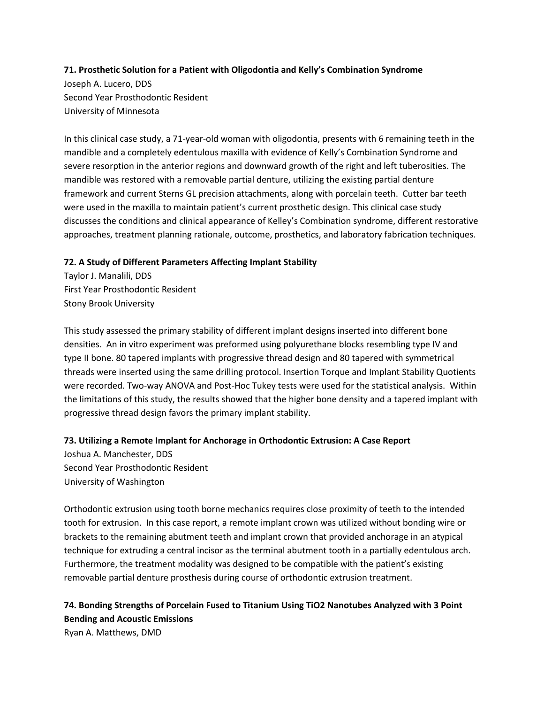#### **71. Prosthetic Solution for a Patient with Oligodontia and Kelly's Combination Syndrome**

Joseph A. Lucero, DDS Second Year Prosthodontic Resident University of Minnesota

In this clinical case study, a 71-year-old woman with oligodontia, presents with 6 remaining teeth in the mandible and a completely edentulous maxilla with evidence of Kelly's Combination Syndrome and severe resorption in the anterior regions and downward growth of the right and left tuberosities. The mandible was restored with a removable partial denture, utilizing the existing partial denture framework and current Sterns GL precision attachments, along with porcelain teeth. Cutter bar teeth were used in the maxilla to maintain patient's current prosthetic design. This clinical case study discusses the conditions and clinical appearance of Kelley's Combination syndrome, different restorative approaches, treatment planning rationale, outcome, prosthetics, and laboratory fabrication techniques.

#### **72. A Study of Different Parameters Affecting Implant Stability**

Taylor J. Manalili, DDS First Year Prosthodontic Resident Stony Brook University

This study assessed the primary stability of different implant designs inserted into different bone densities. An in vitro experiment was preformed using polyurethane blocks resembling type IV and type II bone. 80 tapered implants with progressive thread design and 80 tapered with symmetrical threads were inserted using the same drilling protocol. Insertion Torque and Implant Stability Quotients were recorded. Two-way ANOVA and Post-Hoc Tukey tests were used for the statistical analysis. Within the limitations of this study, the results showed that the higher bone density and a tapered implant with progressive thread design favors the primary implant stability.

#### **73. Utilizing a Remote Implant for Anchorage in Orthodontic Extrusion: A Case Report**

Joshua A. Manchester, DDS Second Year Prosthodontic Resident University of Washington

Orthodontic extrusion using tooth borne mechanics requires close proximity of teeth to the intended tooth for extrusion. In this case report, a remote implant crown was utilized without bonding wire or brackets to the remaining abutment teeth and implant crown that provided anchorage in an atypical technique for extruding a central incisor as the terminal abutment tooth in a partially edentulous arch. Furthermore, the treatment modality was designed to be compatible with the patient's existing removable partial denture prosthesis during course of orthodontic extrusion treatment.

# **74. Bonding Strengths of Porcelain Fused to Titanium Using TiO2 Nanotubes Analyzed with 3 Point Bending and Acoustic Emissions**

Ryan A. Matthews, DMD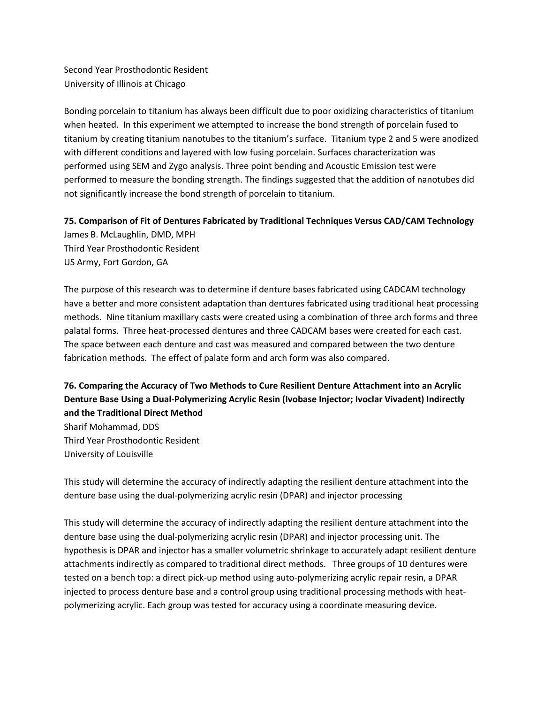Second Year Prosthodontic Resident University of Illinois at Chicago

Bonding porcelain to titanium has always been difficult due to poor oxidizing characteristics of titanium when heated. In this experiment we attempted to increase the bond strength of porcelain fused to titanium by creating titanium nanotubes to the titanium's surface. Titanium type 2 and 5 were anodized with different conditions and layered with low fusing porcelain. Surfaces characterization was performed using SEM and Zygo analysis. Three point bending and Acoustic Emission test were performed to measure the bonding strength. The findings suggested that the addition of nanotubes did not significantly increase the bond strength of porcelain to titanium.

**75. Comparison of Fit of Dentures Fabricated by Traditional Techniques Versus CAD/CAM Technology** James B. McLaughlin, DMD, MPH

Third Year Prosthodontic Resident US Army, Fort Gordon, GA

The purpose of this research was to determine if denture bases fabricated using CADCAM technology have a better and more consistent adaptation than dentures fabricated using traditional heat processing methods. Nine titanium maxillary casts were created using a combination of three arch forms and three palatal forms. Three heat-processed dentures and three CADCAM bases were created for each cast. The space between each denture and cast was measured and compared between the two denture fabrication methods. The effect of palate form and arch form was also compared.

# **76. Comparing the Accuracy of Two Methods to Cure Resilient Denture Attachment into an Acrylic Denture Base Using a Dual-Polymerizing Acrylic Resin (Ivobase Injector; Ivoclar Vivadent) Indirectly and the Traditional Direct Method**

Sharif Mohammad, DDS Third Year Prosthodontic Resident University of Louisville

This study will determine the accuracy of indirectly adapting the resilient denture attachment into the denture base using the dual-polymerizing acrylic resin (DPAR) and injector processing

This study will determine the accuracy of indirectly adapting the resilient denture attachment into the denture base using the dual-polymerizing acrylic resin (DPAR) and injector processing unit. The hypothesis is DPAR and injector has a smaller volumetric shrinkage to accurately adapt resilient denture attachments indirectly as compared to traditional direct methods.Three groups of 10 dentures were tested on a bench top: a direct pick-up method using auto-polymerizing acrylic repair resin, a DPAR injected to process denture base and a control group using traditional processing methods with heatpolymerizing acrylic. Each group was tested for accuracy using a coordinate measuring device.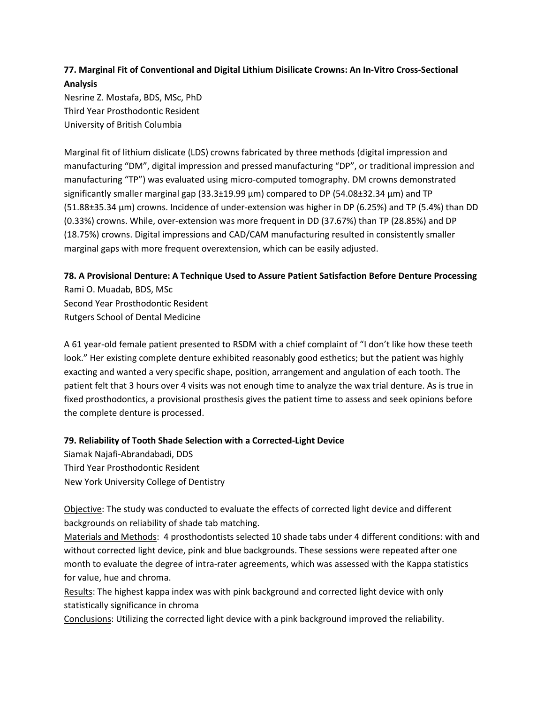# **77. Marginal Fit of Conventional and Digital Lithium Disilicate Crowns: An In-Vitro Cross-Sectional Analysis**

Nesrine Z. Mostafa, BDS, MSc, PhD Third Year Prosthodontic Resident University of British Columbia

Marginal fit of lithium dislicate (LDS) crowns fabricated by three methods (digital impression and manufacturing "DM", digital impression and pressed manufacturing "DP", or traditional impression and manufacturing "TP") was evaluated using micro-computed tomography. DM crowns demonstrated significantly smaller marginal gap (33.3±19.99 μm) compared to DP (54.08±32.34 μm) and TP (51.88±35.34 μm) crowns. Incidence of under-extension was higher in DP (6.25%) and TP (5.4%) than DD (0.33%) crowns. While, over-extension was more frequent in DD (37.67%) than TP (28.85%) and DP (18.75%) crowns. Digital impressions and CAD/CAM manufacturing resulted in consistently smaller marginal gaps with more frequent overextension, which can be easily adjusted.

#### **78. A Provisional Denture: A Technique Used to Assure Patient Satisfaction Before Denture Processing** Rami O. Muadab, BDS, MSc

Second Year Prosthodontic Resident Rutgers School of Dental Medicine

A 61 year-old female patient presented to RSDM with a chief complaint of "I don't like how these teeth look." Her existing complete denture exhibited reasonably good esthetics; but the patient was highly exacting and wanted a very specific shape, position, arrangement and angulation of each tooth. The patient felt that 3 hours over 4 visits was not enough time to analyze the wax trial denture. As is true in fixed prosthodontics, a provisional prosthesis gives the patient time to assess and seek opinions before the complete denture is processed.

#### **79. Reliability of Tooth Shade Selection with a Corrected-Light Device**

Siamak Najafi-Abrandabadi, DDS Third Year Prosthodontic Resident New York University College of Dentistry

Objective: The study was conducted to evaluate the effects of corrected light device and different backgrounds on reliability of shade tab matching.

Materials and Methods: 4 prosthodontists selected 10 shade tabs under 4 different conditions: with and without corrected light device, pink and blue backgrounds. These sessions were repeated after one month to evaluate the degree of intra-rater agreements, which was assessed with the Kappa statistics for value, hue and chroma.

Results: The highest kappa index was with pink background and corrected light device with only statistically significance in chroma

Conclusions: Utilizing the corrected light device with a pink background improved the reliability.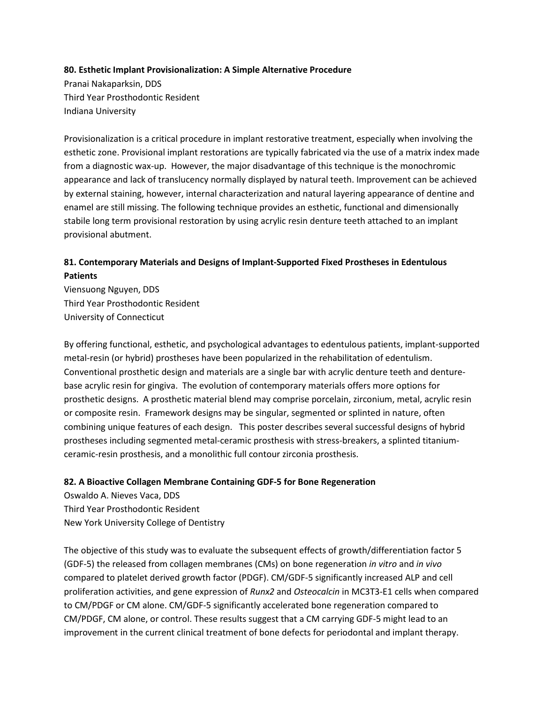#### **80. Esthetic Implant Provisionalization: A Simple Alternative Procedure**

Pranai Nakaparksin, DDS Third Year Prosthodontic Resident Indiana University

Provisionalization is a critical procedure in implant restorative treatment, especially when involving the esthetic zone. Provisional implant restorations are typically fabricated via the use of a matrix index made from a diagnostic wax-up. However, the major disadvantage of this technique is the monochromic appearance and lack of translucency normally displayed by natural teeth. Improvement can be achieved by external staining, however, internal characterization and natural layering appearance of dentine and enamel are still missing. The following technique provides an esthetic, functional and dimensionally stabile long term provisional restoration by using acrylic resin denture teeth attached to an implant provisional abutment.

### **81. Contemporary Materials and Designs of Implant-Supported Fixed Prostheses in Edentulous Patients**

Viensuong Nguyen, DDS Third Year Prosthodontic Resident University of Connecticut

By offering functional, esthetic, and psychological advantages to edentulous patients, implant-supported metal-resin (or hybrid) prostheses have been popularized in the rehabilitation of edentulism. Conventional prosthetic design and materials are a single bar with acrylic denture teeth and denturebase acrylic resin for gingiva. The evolution of contemporary materials offers more options for prosthetic designs. A prosthetic material blend may comprise porcelain, zirconium, metal, acrylic resin or composite resin. Framework designs may be singular, segmented or splinted in nature, often combining unique features of each design. This poster describes several successful designs of hybrid prostheses including segmented metal-ceramic prosthesis with stress-breakers, a splinted titaniumceramic-resin prosthesis, and a monolithic full contour zirconia prosthesis.

#### **82. A Bioactive Collagen Membrane Containing GDF-5 for Bone Regeneration**

Oswaldo A. Nieves Vaca, DDS Third Year Prosthodontic Resident New York University College of Dentistry

The objective of this study was to evaluate the subsequent effects of growth/differentiation factor 5 (GDF-5) the released from collagen membranes (CMs) on bone regeneration *in vitro* and *in vivo*  compared to platelet derived growth factor (PDGF). CM/GDF-5 significantly increased ALP and cell proliferation activities, and gene expression of *Runx2* and *Osteocalcin* in MC3T3-E1 cells when compared to CM/PDGF or CM alone. CM/GDF-5 significantly accelerated bone regeneration compared to CM/PDGF, CM alone, or control. These results suggest that a CM carrying GDF-5 might lead to an improvement in the current clinical treatment of bone defects for periodontal and implant therapy.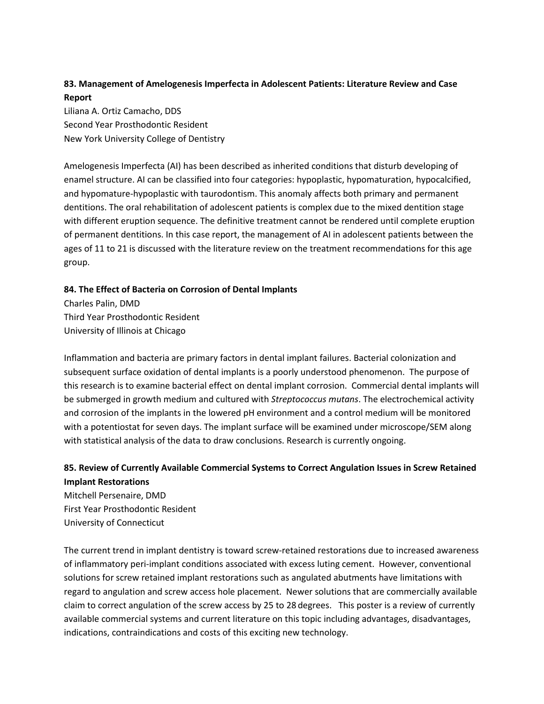# **83. Management of Amelogenesis Imperfecta in Adolescent Patients: Literature Review and Case Report**

Liliana A. Ortiz Camacho, DDS Second Year Prosthodontic Resident New York University College of Dentistry

Amelogenesis Imperfecta (AI) has been described as inherited conditions that disturb developing of enamel structure. AI can be classified into four categories: hypoplastic, hypomaturation, hypocalcified, and hypomature-hypoplastic with taurodontism. This anomaly affects both primary and permanent dentitions. The oral rehabilitation of adolescent patients is complex due to the mixed dentition stage with different eruption sequence. The definitive treatment cannot be rendered until complete eruption of permanent dentitions. In this case report, the management of AI in adolescent patients between the ages of 11 to 21 is discussed with the literature review on the treatment recommendations for this age group.

#### **84. The Effect of Bacteria on Corrosion of Dental Implants**

Charles Palin, DMD Third Year Prosthodontic Resident University of Illinois at Chicago

Inflammation and bacteria are primary factors in dental implant failures. Bacterial colonization and subsequent surface oxidation of dental implants is a poorly understood phenomenon. The purpose of this research is to examine bacterial effect on dental implant corrosion. Commercial dental implants will be submerged in growth medium and cultured with *Streptococcus mutans*. The electrochemical activity and corrosion of the implants in the lowered pH environment and a control medium will be monitored with a potentiostat for seven days. The implant surface will be examined under microscope/SEM along with statistical analysis of the data to draw conclusions. Research is currently ongoing.

# **85. Review of Currently Available Commercial Systems to Correct Angulation Issues in Screw Retained Implant Restorations** Mitchell Persenaire, DMD

First Year Prosthodontic Resident University of Connecticut

The current trend in implant dentistry is toward screw-retained restorations due to increased awareness of inflammatory peri-implant conditions associated with excess luting cement. However, conventional solutions for screw retained implant restorations such as angulated abutments have limitations with regard to angulation and screw access hole placement. Newer solutions that are commercially available claim to correct angulation of the screw access by 25 to 28 degrees. This poster is a review of currently available commercial systems and current literature on this topic including advantages, disadvantages, indications, contraindications and costs of this exciting new technology.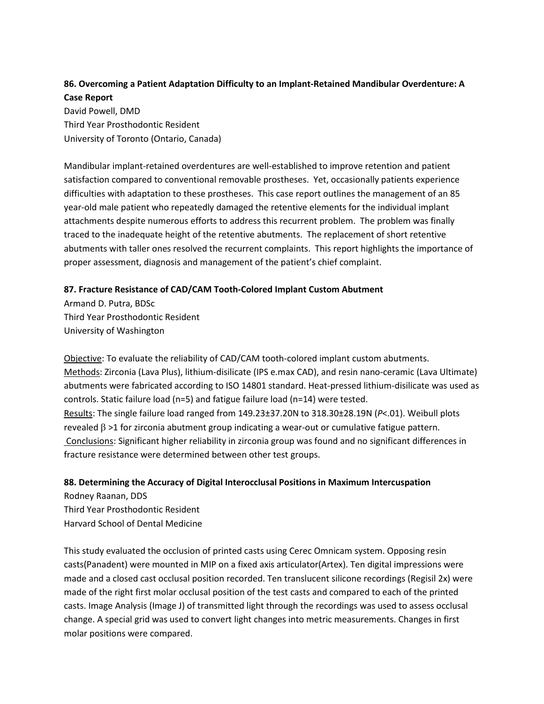# **86. Overcoming a Patient Adaptation Difficulty to an Implant-Retained Mandibular Overdenture: A Case Report**

David Powell, DMD Third Year Prosthodontic Resident University of Toronto (Ontario, Canada)

Mandibular implant-retained overdentures are well-established to improve retention and patient satisfaction compared to conventional removable prostheses. Yet, occasionally patients experience difficulties with adaptation to these prostheses. This case report outlines the management of an 85 year-old male patient who repeatedly damaged the retentive elements for the individual implant attachments despite numerous efforts to address this recurrent problem. The problem was finally traced to the inadequate height of the retentive abutments. The replacement of short retentive abutments with taller ones resolved the recurrent complaints. This report highlights the importance of proper assessment, diagnosis and management of the patient's chief complaint.

#### **87. Fracture Resistance of CAD/CAM Tooth-Colored Implant Custom Abutment**

Armand D. Putra, BDSc Third Year Prosthodontic Resident University of Washington

Objective: To evaluate the reliability of CAD/CAM tooth-colored implant custom abutments. Methods: Zirconia (Lava Plus), lithium-disilicate (IPS e.max CAD), and resin nano-ceramic (Lava Ultimate) abutments were fabricated according to ISO 14801 standard. Heat-pressed lithium-disilicate was used as controls. Static failure load (n=5) and fatigue failure load (n=14) were tested. Results: The single failure load ranged from 149.23±37.20N to 318.30±28.19N (*P*<.01). Weibull plots revealed  $β$  >1 for zirconia abutment group indicating a wear-out or cumulative fatigue pattern. Conclusions: Significant higher reliability in zirconia group was found and no significant differences in fracture resistance were determined between other test groups.

### **88. Determining the Accuracy of Digital Interocclusal Positions in Maximum Intercuspation**

Rodney Raanan, DDS Third Year Prosthodontic Resident Harvard School of Dental Medicine

This study evaluated the occlusion of printed casts using Cerec Omnicam system. Opposing resin casts(Panadent) were mounted in MIP on a fixed axis articulator(Artex). Ten digital impressions were made and a closed cast occlusal position recorded. Ten translucent silicone recordings (Regisil 2x) were made of the right first molar occlusal position of the test casts and compared to each of the printed casts. Image Analysis (Image J) of transmitted light through the recordings was used to assess occlusal change. A special grid was used to convert light changes into metric measurements. Changes in first molar positions were compared.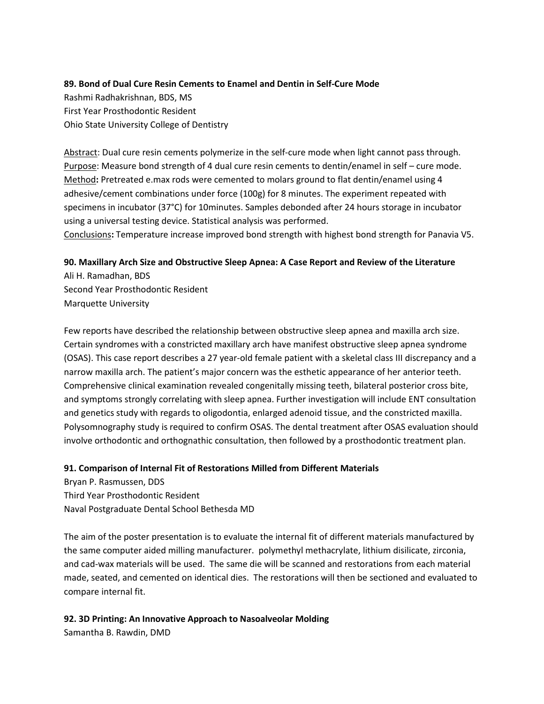#### **89. Bond of Dual Cure Resin Cements to Enamel and Dentin in Self-Cure Mode**

Rashmi Radhakrishnan, BDS, MS First Year Prosthodontic Resident Ohio State University College of Dentistry

Abstract: Dual cure resin cements polymerize in the self-cure mode when light cannot pass through. Purpose: Measure bond strength of 4 dual cure resin cements to dentin/enamel in self – cure mode. Method**:** Pretreated e.max rods were cemented to molars ground to flat dentin/enamel using 4 adhesive/cement combinations under force (100g) for 8 minutes. The experiment repeated with specimens in incubator (37°C) for 10minutes. Samples debonded after 24 hours storage in incubator using a universal testing device. Statistical analysis was performed. Conclusions**:** Temperature increase improved bond strength with highest bond strength for Panavia V5.

### **90. Maxillary Arch Size and Obstructive Sleep Apnea: A Case Report and Review of the Literature**

Ali H. Ramadhan, BDS Second Year Prosthodontic Resident Marquette University

Few reports have described the relationship between obstructive sleep apnea and maxilla arch size. Certain syndromes with a constricted maxillary arch have manifest obstructive sleep apnea syndrome (OSAS). This case report describes a 27 year-old female patient with a skeletal class III discrepancy and a narrow maxilla arch. The patient's major concern was the esthetic appearance of her anterior teeth. Comprehensive clinical examination revealed congenitally missing teeth, bilateral posterior cross bite, and symptoms strongly correlating with sleep apnea. Further investigation will include ENT consultation and genetics study with regards to oligodontia, enlarged adenoid tissue, and the constricted maxilla. Polysomnography study is required to confirm OSAS. The dental treatment after OSAS evaluation should involve orthodontic and orthognathic consultation, then followed by a prosthodontic treatment plan.

#### **91. Comparison of Internal Fit of Restorations Milled from Different Materials**

Bryan P. Rasmussen, DDS Third Year Prosthodontic Resident Naval Postgraduate Dental School Bethesda MD

The aim of the poster presentation is to evaluate the internal fit of different materials manufactured by the same computer aided milling manufacturer. polymethyl methacrylate, lithium disilicate, zirconia, and cad-wax materials will be used. The same die will be scanned and restorations from each material made, seated, and cemented on identical dies. The restorations will then be sectioned and evaluated to compare internal fit.

# **92. 3D Printing: An Innovative Approach to Nasoalveolar Molding**

Samantha B. Rawdin, DMD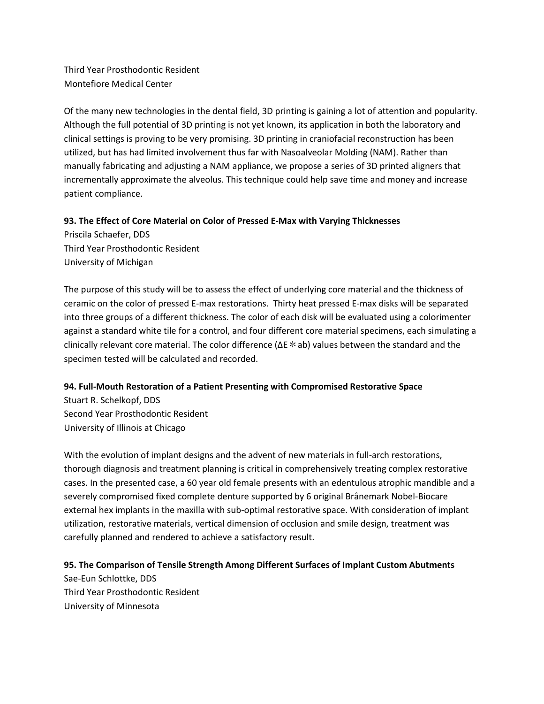Third Year Prosthodontic Resident Montefiore Medical Center

Of the many new technologies in the dental field, 3D printing is gaining a lot of attention and popularity. Although the full potential of 3D printing is not yet known, its application in both the laboratory and clinical settings is proving to be very promising. 3D printing in craniofacial reconstruction has been utilized, but has had limited involvement thus far with Nasoalveolar Molding (NAM). Rather than manually fabricating and adjusting a NAM appliance, we propose a series of 3D printed aligners that incrementally approximate the alveolus. This technique could help save time and money and increase patient compliance.

#### **93. The Effect of Core Material on Color of Pressed E-Max with Varying Thicknesses**

Priscila Schaefer, DDS Third Year Prosthodontic Resident University of Michigan

The purpose of this study will be to assess the effect of underlying core material and the thickness of ceramic on the color of pressed E-max restorations. Thirty heat pressed E-max disks will be separated into three groups of a different thickness. The color of each disk will be evaluated using a colorimenter against a standard white tile for a control, and four different core material specimens, each simulating a clinically relevant core material. The color difference (ΔE\*ab) values between the standard and the specimen tested will be calculated and recorded.

#### **94. Full-Mouth Restoration of a Patient Presenting with Compromised Restorative Space**

Stuart R. Schelkopf, DDS Second Year Prosthodontic Resident University of Illinois at Chicago

With the evolution of implant designs and the advent of new materials in full-arch restorations, thorough diagnosis and treatment planning is critical in comprehensively treating complex restorative cases. In the presented case, a 60 year old female presents with an edentulous atrophic mandible and a severely compromised fixed complete denture supported by 6 original Brånemark Nobel-Biocare external hex implants in the maxilla with sub-optimal restorative space. With consideration of implant utilization, restorative materials, vertical dimension of occlusion and smile design, treatment was carefully planned and rendered to achieve a satisfactory result.

#### **95. The Comparison of Tensile Strength Among Different Surfaces of Implant Custom Abutments**

Sae-Eun Schlottke, DDS Third Year Prosthodontic Resident University of Minnesota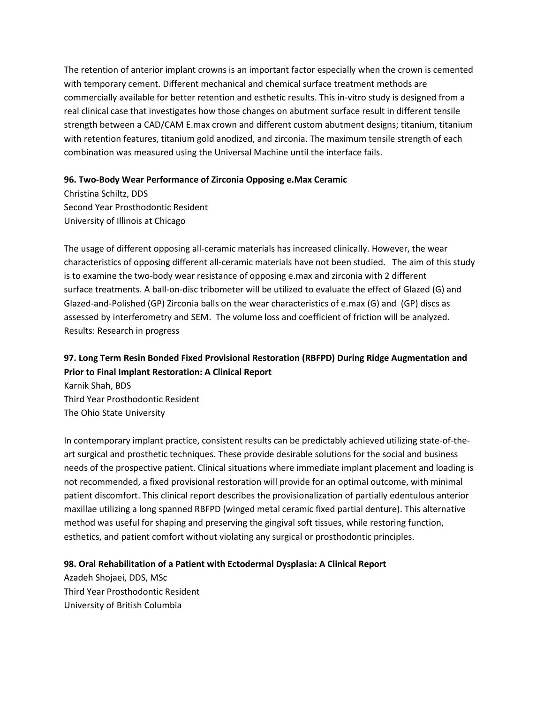The retention of anterior implant crowns is an important factor especially when the crown is cemented with temporary cement. Different mechanical and chemical surface treatment methods are commercially available for better retention and esthetic results. This in-vitro study is designed from a real clinical case that investigates how those changes on abutment surface result in different tensile strength between a CAD/CAM E.max crown and different custom abutment designs; titanium, titanium with retention features, titanium gold anodized, and zirconia. The maximum tensile strength of each combination was measured using the Universal Machine until the interface fails.

#### **96. Two-Body Wear Performance of Zirconia Opposing e.Max Ceramic**

Christina Schiltz, DDS Second Year Prosthodontic Resident University of Illinois at Chicago

The usage of different opposing all-ceramic materials has increased clinically. However, the wear characteristics of opposing different all-ceramic materials have not been studied. The aim of this study is to examine the two-body wear resistance of opposing e.max and zirconia with 2 different surface treatments. A ball-on-disc tribometer will be utilized to evaluate the effect of Glazed (G) and Glazed-and-Polished (GP) Zirconia balls on the wear characteristics of e.max (G) and (GP) discs as assessed by interferometry and SEM. The volume loss and coefficient of friction will be analyzed. Results: Research in progress

# **97. Long Term Resin Bonded Fixed Provisional Restoration (RBFPD) During Ridge Augmentation and Prior to Final Implant Restoration: A Clinical Report**

Karnik Shah, BDS Third Year Prosthodontic Resident The Ohio State University

In contemporary implant practice, consistent results can be predictably achieved utilizing state-of-theart surgical and prosthetic techniques. These provide desirable solutions for the social and business needs of the prospective patient. Clinical situations where immediate implant placement and loading is not recommended, a fixed provisional restoration will provide for an optimal outcome, with minimal patient discomfort. This clinical report describes the provisionalization of partially edentulous anterior maxillae utilizing a long spanned RBFPD (winged metal ceramic fixed partial denture). This alternative method was useful for shaping and preserving the gingival soft tissues, while restoring function, esthetics, and patient comfort without violating any surgical or prosthodontic principles.

#### **98. Oral Rehabilitation of a Patient with Ectodermal Dysplasia: A Clinical Report**

Azadeh Shojaei, DDS, MSc Third Year Prosthodontic Resident University of British Columbia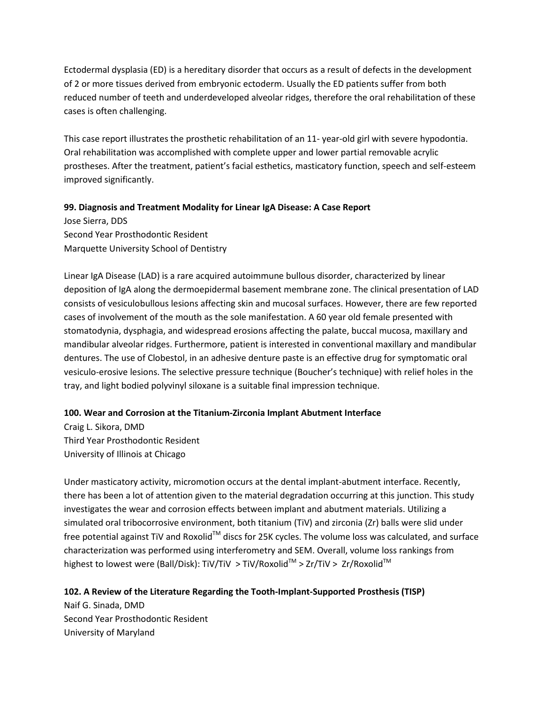Ectodermal dysplasia (ED) is a hereditary disorder that occurs as a result of defects in the development of 2 or more tissues derived from embryonic ectoderm. Usually the ED patients suffer from both reduced number of teeth and underdeveloped alveolar ridges, therefore the oral rehabilitation of these cases is often challenging.

This case report illustrates the prosthetic rehabilitation of an 11- year-old girl with severe hypodontia. Oral rehabilitation was accomplished with complete upper and lower partial removable acrylic prostheses. After the treatment, patient's facial esthetics, masticatory function, speech and self-esteem improved significantly.

#### **99. Diagnosis and Treatment Modality for Linear IgA Disease: A Case Report**

Jose Sierra, DDS Second Year Prosthodontic Resident Marquette University School of Dentistry

Linear IgA Disease (LAD) is a rare acquired autoimmune bullous disorder, characterized by linear deposition of IgA along the dermoepidermal basement membrane zone. The clinical presentation of LAD consists of vesiculobullous lesions affecting skin and mucosal surfaces. However, there are few reported cases of involvement of the mouth as the sole manifestation. A 60 year old female presented with stomatodynia, dysphagia, and widespread erosions affecting the palate, buccal mucosa, maxillary and mandibular alveolar ridges. Furthermore, patient is interested in conventional maxillary and mandibular dentures. The use of Clobestol, in an adhesive denture paste is an effective drug for symptomatic oral vesiculo-erosive lesions. The selective pressure technique (Boucher's technique) with relief holes in the tray, and light bodied polyvinyl siloxane is a suitable final impression technique.

#### **100. Wear and Corrosion at the Titanium-Zirconia Implant Abutment Interface**

Craig L. Sikora, DMD Third Year Prosthodontic Resident University of Illinois at Chicago

Under masticatory activity, micromotion occurs at the dental implant-abutment interface. Recently, there has been a lot of attention given to the material degradation occurring at this junction. This study investigates the wear and corrosion effects between implant and abutment materials. Utilizing a simulated oral tribocorrosive environment, both titanium (TiV) and zirconia (Zr) balls were slid under free potential against TiV and Roxolid™ discs for 25K cycles. The volume loss was calculated, and surface characterization was performed using interferometry and SEM. Overall, volume loss rankings from highest to lowest were (Ball/Disk): TiV/TiV > TiV/Roxolid<sup>TM</sup> > Zr/TiV > Zr/Roxolid<sup>TM</sup>

#### **102. A Review of the Literature Regarding the Tooth-Implant-Supported Prosthesis (TISP)**

Naif G. Sinada, DMD Second Year Prosthodontic Resident University of Maryland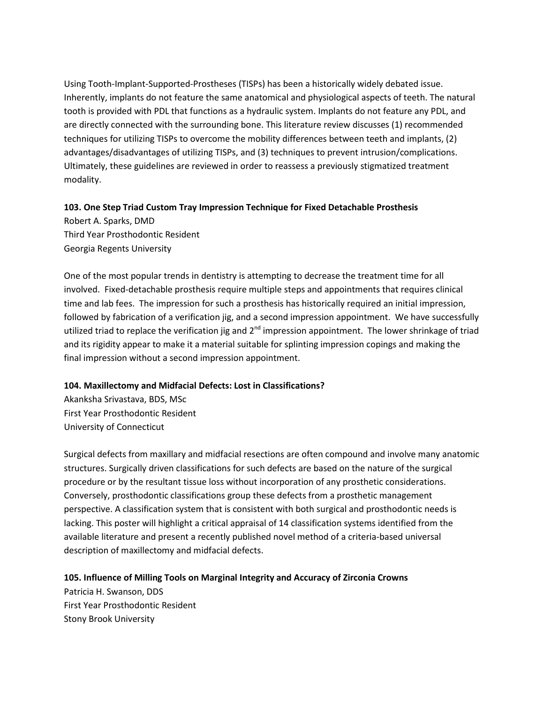Using Tooth-Implant-Supported-Prostheses (TISPs) has been a historically widely debated issue. Inherently, implants do not feature the same anatomical and physiological aspects of teeth. The natural tooth is provided with PDL that functions as a hydraulic system. Implants do not feature any PDL, and are directly connected with the surrounding bone. This literature review discusses (1) recommended techniques for utilizing TISPs to overcome the mobility differences between teeth and implants, (2) advantages/disadvantages of utilizing TISPs, and (3) techniques to prevent intrusion/complications. Ultimately, these guidelines are reviewed in order to reassess a previously stigmatized treatment modality.

#### **103. One Step Triad Custom Tray Impression Technique for Fixed Detachable Prosthesis**

Robert A. Sparks, DMD Third Year Prosthodontic Resident Georgia Regents University

One of the most popular trends in dentistry is attempting to decrease the treatment time for all involved. Fixed-detachable prosthesis require multiple steps and appointments that requires clinical time and lab fees. The impression for such a prosthesis has historically required an initial impression, followed by fabrication of a verification jig, and a second impression appointment. We have successfully utilized triad to replace the verification jig and  $2^{nd}$  impression appointment. The lower shrinkage of triad and its rigidity appear to make it a material suitable for splinting impression copings and making the final impression without a second impression appointment.

#### **104. Maxillectomy and Midfacial Defects: Lost in Classifications?**

Akanksha Srivastava, BDS, MSc First Year Prosthodontic Resident University of Connecticut

Surgical defects from maxillary and midfacial resections are often compound and involve many anatomic structures. Surgically driven classifications for such defects are based on the nature of the surgical procedure or by the resultant tissue loss without incorporation of any prosthetic considerations. Conversely, prosthodontic classifications group these defects from a prosthetic management perspective. A classification system that is consistent with both surgical and prosthodontic needs is lacking. This poster will highlight a critical appraisal of 14 classification systems identified from the available literature and present a recently published novel method of a criteria-based universal description of maxillectomy and midfacial defects.

**105. Influence of Milling Tools on Marginal Integrity and Accuracy of Zirconia Crowns**

Patricia H. Swanson, DDS First Year Prosthodontic Resident Stony Brook University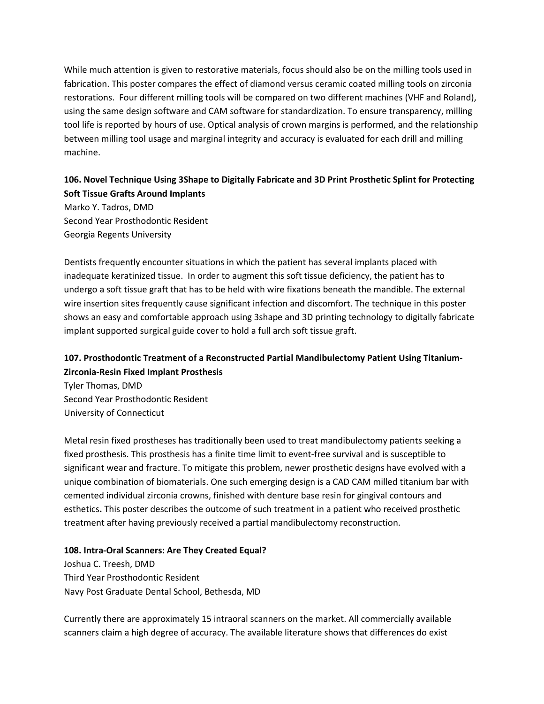While much attention is given to restorative materials, focus should also be on the milling tools used in fabrication. This poster compares the effect of diamond versus ceramic coated milling tools on zirconia restorations. Four different milling tools will be compared on two different machines (VHF and Roland), using the same design software and CAM software for standardization. To ensure transparency, milling tool life is reported by hours of use. Optical analysis of crown margins is performed, and the relationship between milling tool usage and marginal integrity and accuracy is evaluated for each drill and milling machine.

### **106. Novel Technique Using 3Shape to Digitally Fabricate and 3D Print Prosthetic Splint for Protecting Soft Tissue Grafts Around Implants**

Marko Y. Tadros, DMD Second Year Prosthodontic Resident Georgia Regents University

Dentists frequently encounter situations in which the patient has several implants placed with inadequate keratinized tissue. In order to augment this soft tissue deficiency, the patient has to undergo a soft tissue graft that has to be held with wire fixations beneath the mandible. The external wire insertion sites frequently cause significant infection and discomfort. The technique in this poster shows an easy and comfortable approach using 3shape and 3D printing technology to digitally fabricate implant supported surgical guide cover to hold a full arch soft tissue graft.

# **107. Prosthodontic Treatment of a Reconstructed Partial Mandibulectomy Patient Using Titanium-Zirconia-Resin Fixed Implant Prosthesis**

Tyler Thomas, DMD Second Year Prosthodontic Resident University of Connecticut

Metal resin fixed prostheses has traditionally been used to treat mandibulectomy patients seeking a fixed prosthesis. This prosthesis has a finite time limit to event-free survival and is susceptible to significant wear and fracture. To mitigate this problem, newer prosthetic designs have evolved with a unique combination of biomaterials. One such emerging design is a CAD CAM milled titanium bar with cemented individual zirconia crowns, finished with denture base resin for gingival contours and esthetics**.** This poster describes the outcome of such treatment in a patient who received prosthetic treatment after having previously received a partial mandibulectomy reconstruction.

#### **108. Intra-Oral Scanners: Are They Created Equal?**

Joshua C. Treesh, DMD Third Year Prosthodontic Resident Navy Post Graduate Dental School, Bethesda, MD

Currently there are approximately 15 intraoral scanners on the market. All commercially available scanners claim a high degree of accuracy. The available literature shows that differences do exist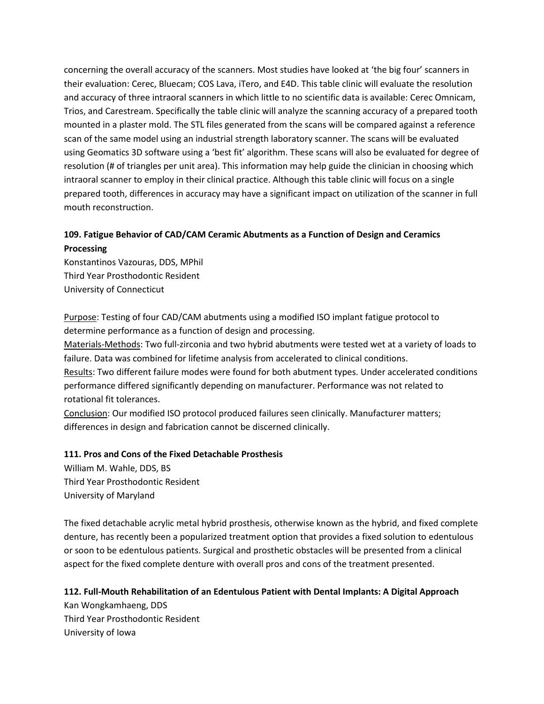concerning the overall accuracy of the scanners. Most studies have looked at 'the big four' scanners in their evaluation: Cerec, Bluecam; COS Lava, iTero, and E4D. This table clinic will evaluate the resolution and accuracy of three intraoral scanners in which little to no scientific data is available: Cerec Omnicam, Trios, and Carestream. Specifically the table clinic will analyze the scanning accuracy of a prepared tooth mounted in a plaster mold. The STL files generated from the scans will be compared against a reference scan of the same model using an industrial strength laboratory scanner. The scans will be evaluated using Geomatics 3D software using a 'best fit' algorithm. These scans will also be evaluated for degree of resolution (# of triangles per unit area). This information may help guide the clinician in choosing which intraoral scanner to employ in their clinical practice. Although this table clinic will focus on a single prepared tooth, differences in accuracy may have a significant impact on utilization of the scanner in full mouth reconstruction.

# **109. Fatigue Behavior of CAD/CAM Ceramic Abutments as a Function of Design and Ceramics Processing**

Konstantinos Vazouras, DDS, MPhil Third Year Prosthodontic Resident University of Connecticut

Purpose: Testing of four CAD/CAM abutments using a modified ISO implant fatigue protocol to determine performance as a function of design and processing.

Materials-Methods: Two full-zirconia and two hybrid abutments were tested wet at a variety of loads to failure. Data was combined for lifetime analysis from accelerated to clinical conditions.

Results: Two different failure modes were found for both abutment types. Under accelerated conditions performance differed significantly depending on manufacturer. Performance was not related to rotational fit tolerances.

Conclusion: Our modified ISO protocol produced failures seen clinically. Manufacturer matters; differences in design and fabrication cannot be discerned clinically.

#### **111. Pros and Cons of the Fixed Detachable Prosthesis**

William M. Wahle, DDS, BS Third Year Prosthodontic Resident University of Maryland

The fixed detachable acrylic metal hybrid prosthesis, otherwise known as the hybrid, and fixed complete denture, has recently been a popularized treatment option that provides a fixed solution to edentulous or soon to be edentulous patients. Surgical and prosthetic obstacles will be presented from a clinical aspect for the fixed complete denture with overall pros and cons of the treatment presented.

#### **112. Full-Mouth Rehabilitation of an Edentulous Patient with Dental Implants: A Digital Approach**

Kan Wongkamhaeng, DDS Third Year Prosthodontic Resident University of Iowa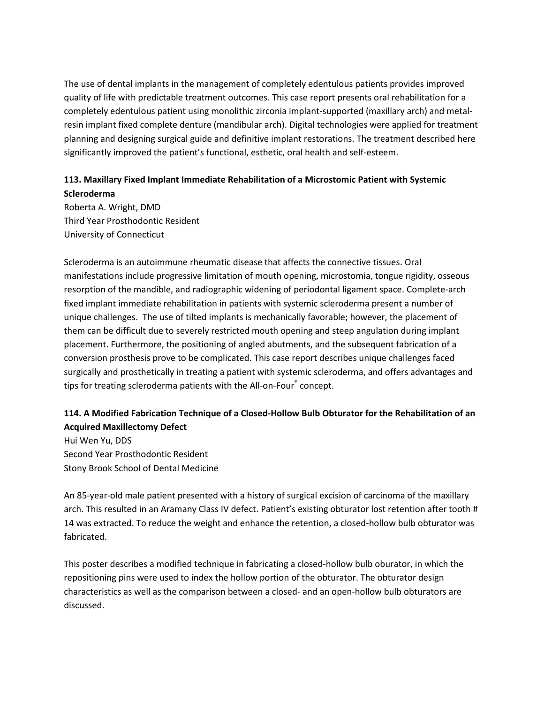The use of dental implants in the management of completely edentulous patients provides improved quality of life with predictable treatment outcomes. This case report presents oral rehabilitation for a completely edentulous patient using monolithic zirconia implant-supported (maxillary arch) and metalresin implant fixed complete denture (mandibular arch). Digital technologies were applied for treatment planning and designing surgical guide and definitive implant restorations. The treatment described here significantly improved the patient's functional, esthetic, oral health and self-esteem.

### **113. Maxillary Fixed Implant Immediate Rehabilitation of a Microstomic Patient with Systemic Scleroderma**

Roberta A. Wright, DMD Third Year Prosthodontic Resident University of Connecticut

Scleroderma is an autoimmune rheumatic disease that affects the connective tissues. Oral manifestations include progressive limitation of mouth opening, microstomia, tongue rigidity, osseous resorption of the mandible, and radiographic widening of periodontal ligament space. Complete-arch fixed implant immediate rehabilitation in patients with systemic scleroderma present a number of unique challenges. The use of tilted implants is mechanically favorable; however, the placement of them can be difficult due to severely restricted mouth opening and steep angulation during implant placement. Furthermore, the positioning of angled abutments, and the subsequent fabrication of a conversion prosthesis prove to be complicated. This case report describes unique challenges faced surgically and prosthetically in treating a patient with systemic scleroderma, and offers advantages and tips for treating scleroderma patients with the All-on-Four® concept.

# **114. A Modified Fabrication Technique of a Closed-Hollow Bulb Obturator for the Rehabilitation of an Acquired Maxillectomy Defect**

Hui Wen Yu, DDS Second Year Prosthodontic Resident Stony Brook School of Dental Medicine

An 85-year-old male patient presented with a history of surgical excision of carcinoma of the maxillary arch. This resulted in an Aramany Class IV defect. Patient's existing obturator lost retention after tooth # 14 was extracted. To reduce the weight and enhance the retention, a closed-hollow bulb obturator was fabricated.

This poster describes a modified technique in fabricating a closed-hollow bulb oburator, in which the repositioning pins were used to index the hollow portion of the obturator. The obturator design characteristics as well as the comparison between a closed- and an open-hollow bulb obturators are discussed.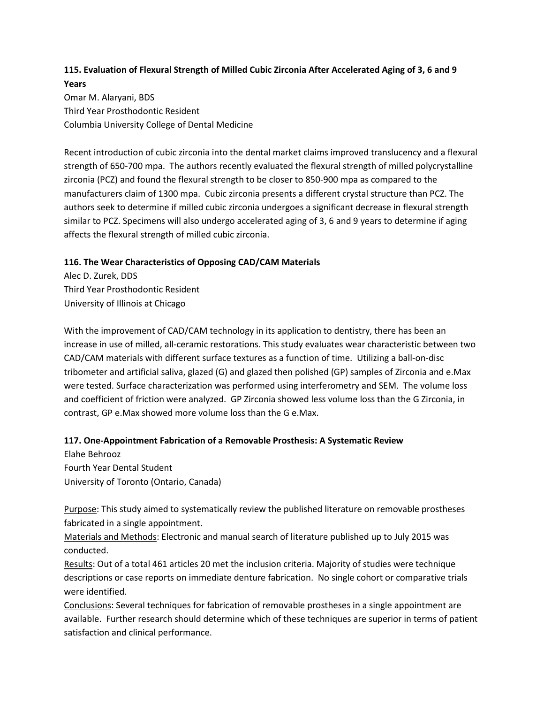### **115. Evaluation of Flexural Strength of Milled Cubic Zirconia After Accelerated Aging of 3, 6 and 9 Years** Omar M. Alaryani, BDS

Third Year Prosthodontic Resident Columbia University College of Dental Medicine

Recent introduction of cubic zirconia into the dental market claims improved translucency and a flexural strength of 650-700 mpa. The authors recently evaluated the flexural strength of milled polycrystalline zirconia (PCZ) and found the flexural strength to be closer to 850-900 mpa as compared to the manufacturers claim of 1300 mpa. Cubic zirconia presents a different crystal structure than PCZ. The authors seek to determine if milled cubic zirconia undergoes a significant decrease in flexural strength similar to PCZ. Specimens will also undergo accelerated aging of 3, 6 and 9 years to determine if aging affects the flexural strength of milled cubic zirconia.

#### **116. The Wear Characteristics of Opposing CAD/CAM Materials**

Alec D. Zurek, DDS Third Year Prosthodontic Resident University of Illinois at Chicago

With the improvement of CAD/CAM technology in its application to dentistry, there has been an increase in use of milled, all-ceramic restorations. This study evaluates wear characteristic between two CAD/CAM materials with different surface textures as a function of time. Utilizing a ball-on-disc tribometer and artificial saliva, glazed (G) and glazed then polished (GP) samples of Zirconia and e.Max were tested. Surface characterization was performed using interferometry and SEM. The volume loss and coefficient of friction were analyzed. GP Zirconia showed less volume loss than the G Zirconia, in contrast, GP e.Max showed more volume loss than the G e.Max.

### **117. One-Appointment Fabrication of a Removable Prosthesis: A Systematic Review**

Elahe Behrooz Fourth Year Dental Student University of Toronto (Ontario, Canada)

Purpose: This study aimed to systematically review the published literature on removable prostheses fabricated in a single appointment.

Materials and Methods: Electronic and manual search of literature published up to July 2015 was conducted.

Results: Out of a total 461 articles 20 met the inclusion criteria. Majority of studies were technique descriptions or case reports on immediate denture fabrication. No single cohort or comparative trials were identified.

Conclusions: Several techniques for fabrication of removable prostheses in a single appointment are available. Further research should determine which of these techniques are superior in terms of patient satisfaction and clinical performance.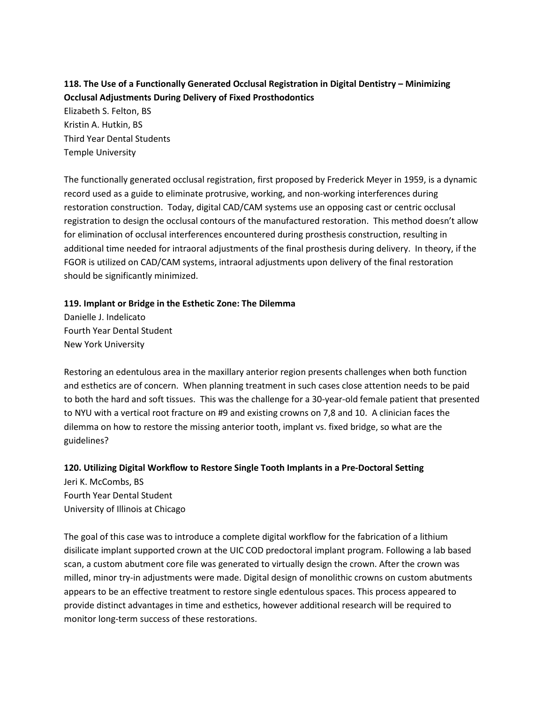# **118. The Use of a Functionally Generated Occlusal Registration in Digital Dentistry – Minimizing Occlusal Adjustments During Delivery of Fixed Prosthodontics**

Elizabeth S. Felton, BS Kristin A. Hutkin, BS Third Year Dental Students Temple University

The functionally generated occlusal registration, first proposed by Frederick Meyer in 1959, is a dynamic record used as a guide to eliminate protrusive, working, and non-working interferences during restoration construction. Today, digital CAD/CAM systems use an opposing cast or centric occlusal registration to design the occlusal contours of the manufactured restoration. This method doesn't allow for elimination of occlusal interferences encountered during prosthesis construction, resulting in additional time needed for intraoral adjustments of the final prosthesis during delivery. In theory, if the FGOR is utilized on CAD/CAM systems, intraoral adjustments upon delivery of the final restoration should be significantly minimized.

#### **119. Implant or Bridge in the Esthetic Zone: The Dilemma**

Danielle J. Indelicato Fourth Year Dental Student New York University

Restoring an edentulous area in the maxillary anterior region presents challenges when both function and esthetics are of concern. When planning treatment in such cases close attention needs to be paid to both the hard and soft tissues. This was the challenge for a 30-year-old female patient that presented to NYU with a vertical root fracture on #9 and existing crowns on 7,8 and 10. A clinician faces the dilemma on how to restore the missing anterior tooth, implant vs. fixed bridge, so what are the guidelines?

#### **120. Utilizing Digital Workflow to Restore Single Tooth Implants in a Pre-Doctoral Setting**

Jeri K. McCombs, BS Fourth Year Dental Student University of Illinois at Chicago

The goal of this case was to introduce a complete digital workflow for the fabrication of a lithium disilicate implant supported crown at the UIC COD predoctoral implant program. Following a lab based scan, a custom abutment core file was generated to virtually design the crown. After the crown was milled, minor try-in adjustments were made. Digital design of monolithic crowns on custom abutments appears to be an effective treatment to restore single edentulous spaces. This process appeared to provide distinct advantages in time and esthetics, however additional research will be required to monitor long-term success of these restorations.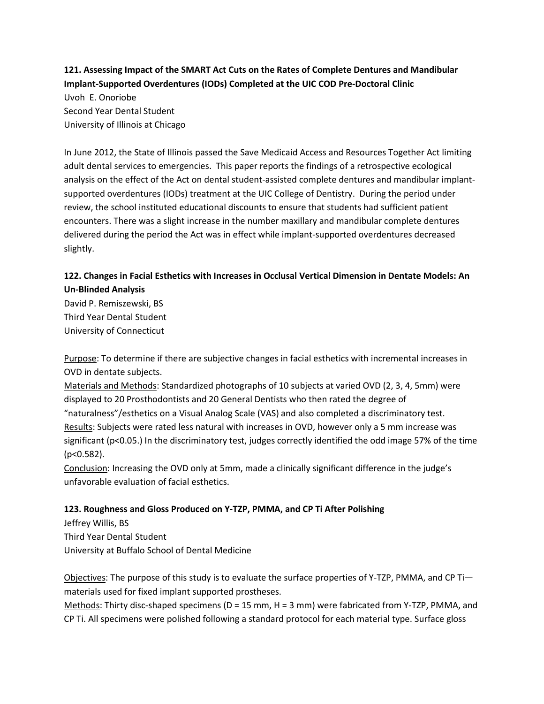**121. Assessing Impact of the SMART Act Cuts on the Rates of Complete Dentures and Mandibular Implant-Supported Overdentures (IODs) Completed at the UIC COD Pre-Doctoral Clinic**

Uvoh E. Onoriobe Second Year Dental Student University of Illinois at Chicago

In June 2012, the State of Illinois passed the Save Medicaid Access and Resources Together Act limiting adult dental services to emergencies. This paper reports the findings of a retrospective ecological analysis on the effect of the Act on dental student-assisted complete dentures and mandibular implantsupported overdentures (IODs) treatment at the UIC College of Dentistry. During the period under review, the school instituted educational discounts to ensure that students had sufficient patient encounters. There was a slight increase in the number maxillary and mandibular complete dentures delivered during the period the Act was in effect while implant-supported overdentures decreased slightly.

# **122. Changes in Facial Esthetics with Increases in Occlusal Vertical Dimension in Dentate Models: An Un-Blinded Analysis**

David P. Remiszewski, BS Third Year Dental Student University of Connecticut

Purpose: To determine if there are subjective changes in facial esthetics with incremental increases in OVD in dentate subjects.

Materials and Methods: Standardized photographs of 10 subjects at varied OVD (2, 3, 4, 5mm) were displayed to 20 Prosthodontists and 20 General Dentists who then rated the degree of "naturalness"/esthetics on a Visual Analog Scale (VAS) and also completed a discriminatory test. Results: Subjects were rated less natural with increases in OVD, however only a 5 mm increase was significant (p<0.05.) In the discriminatory test, judges correctly identified the odd image 57% of the time (p<0.582).

Conclusion: Increasing the OVD only at 5mm, made a clinically significant difference in the judge's unfavorable evaluation of facial esthetics.

### **123. Roughness and Gloss Produced on Y-TZP, PMMA, and CP Ti After Polishing**

Jeffrey Willis, BS Third Year Dental Student University at Buffalo School of Dental Medicine

Objectives: The purpose of this study is to evaluate the surface properties of Y-TZP, PMMA, and CP Ti materials used for fixed implant supported prostheses.

Methods: Thirty disc-shaped specimens ( $D = 15$  mm,  $H = 3$  mm) were fabricated from Y-TZP, PMMA, and CP Ti. All specimens were polished following a standard protocol for each material type. Surface gloss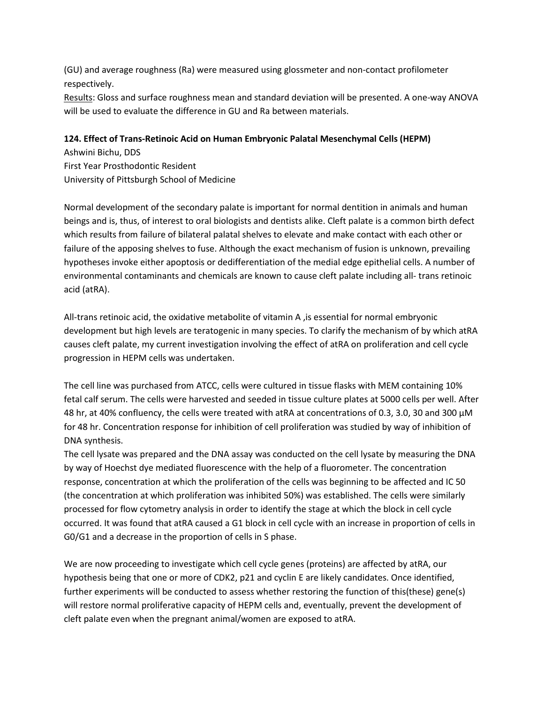(GU) and average roughness (Ra) were measured using glossmeter and non-contact profilometer respectively.

Results: Gloss and surface roughness mean and standard deviation will be presented. A one-way ANOVA will be used to evaluate the difference in GU and Ra between materials.

#### **124. Effect of Trans-Retinoic Acid on Human Embryonic Palatal Mesenchymal Cells (HEPM)**

Ashwini Bichu, DDS First Year Prosthodontic Resident University of Pittsburgh School of Medicine

Normal development of the secondary palate is important for normal dentition in animals and human beings and is, thus, of interest to oral biologists and dentists alike. Cleft palate is a common birth defect which results from failure of bilateral palatal shelves to elevate and make contact with each other or failure of the apposing shelves to fuse. Although the exact mechanism of fusion is unknown, prevailing hypotheses invoke either apoptosis or dedifferentiation of the medial edge epithelial cells. A number of environmental contaminants and chemicals are known to cause cleft palate including all- trans retinoic acid (atRA).

All-trans retinoic acid, the oxidative metabolite of vitamin A ,is essential for normal embryonic development but high levels are teratogenic in many species. To clarify the mechanism of by which atRA causes cleft palate, my current investigation involving the effect of atRA on proliferation and cell cycle progression in HEPM cells was undertaken.

The cell line was purchased from ATCC, cells were cultured in tissue flasks with MEM containing 10% fetal calf serum. The cells were harvested and seeded in tissue culture plates at 5000 cells per well. After 48 hr, at 40% confluency, the cells were treated with atRA at concentrations of 0.3, 3.0, 30 and 300 µM for 48 hr. Concentration response for inhibition of cell proliferation was studied by way of inhibition of DNA synthesis.

The cell lysate was prepared and the DNA assay was conducted on the cell lysate by measuring the DNA by way of Hoechst dye mediated fluorescence with the help of a fluorometer. The concentration response, concentration at which the proliferation of the cells was beginning to be affected and IC 50 (the concentration at which proliferation was inhibited 50%) was established. The cells were similarly processed for flow cytometry analysis in order to identify the stage at which the block in cell cycle occurred. It was found that atRA caused a G1 block in cell cycle with an increase in proportion of cells in G0/G1 and a decrease in the proportion of cells in S phase.

We are now proceeding to investigate which cell cycle genes (proteins) are affected by atRA, our hypothesis being that one or more of CDK2, p21 and cyclin E are likely candidates. Once identified, further experiments will be conducted to assess whether restoring the function of this(these) gene(s) will restore normal proliferative capacity of HEPM cells and, eventually, prevent the development of cleft palate even when the pregnant animal/women are exposed to atRA.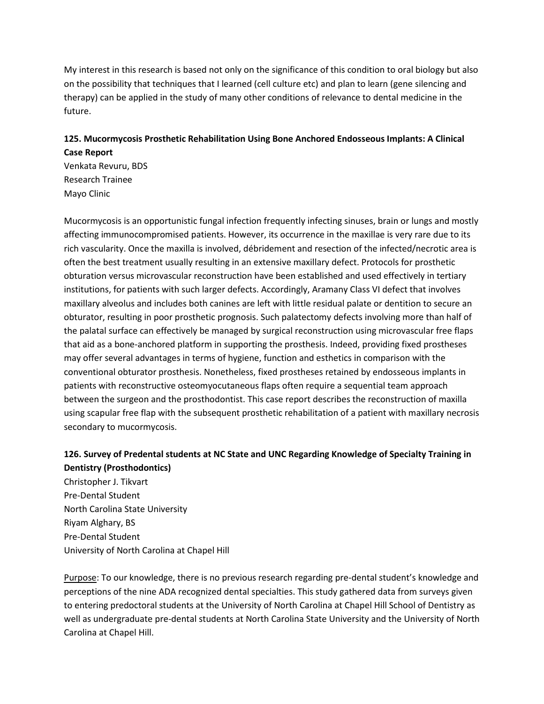My interest in this research is based not only on the significance of this condition to oral biology but also on the possibility that techniques that I learned (cell culture etc) and plan to learn (gene silencing and therapy) can be applied in the study of many other conditions of relevance to dental medicine in the future.

### **125. Mucormycosis Prosthetic Rehabilitation Using Bone Anchored Endosseous Implants: A Clinical Case Report**

Venkata Revuru, BDS Research Trainee Mayo Clinic

Mucormycosis is an opportunistic fungal infection frequently infecting sinuses, brain or lungs and mostly affecting immunocompromised patients. However, its occurrence in the maxillae is very rare due to its rich vascularity. Once the maxilla is involved, débridement and resection of the infected/necrotic area is often the best treatment usually resulting in an extensive maxillary defect. Protocols for prosthetic obturation versus microvascular reconstruction have been established and used effectively in tertiary institutions, for patients with such larger defects. Accordingly, Aramany Class VI defect that involves maxillary alveolus and includes both canines are left with little residual palate or dentition to secure an obturator, resulting in poor prosthetic prognosis. Such palatectomy defects involving more than half of the palatal surface can effectively be managed by surgical reconstruction using microvascular free flaps that aid as a bone-anchored platform in supporting the prosthesis. Indeed, providing fixed prostheses may offer several advantages in terms of hygiene, function and esthetics in comparison with the conventional obturator prosthesis. Nonetheless, fixed prostheses retained by endosseous implants in patients with reconstructive osteomyocutaneous flaps often require a sequential team approach between the surgeon and the prosthodontist. This case report describes the reconstruction of maxilla using scapular free flap with the subsequent prosthetic rehabilitation of a patient with maxillary necrosis secondary to mucormycosis.

### **126. Survey of Predental students at NC State and UNC Regarding Knowledge of Specialty Training in Dentistry (Prosthodontics)**

Christopher J. Tikvart Pre-Dental Student North Carolina State University Riyam Alghary, BS Pre-Dental Student University of North Carolina at Chapel Hill

Purpose: To our knowledge, there is no previous research regarding pre-dental student's knowledge and perceptions of the nine ADA recognized dental specialties. This study gathered data from surveys given to entering predoctoral students at the University of North Carolina at Chapel Hill School of Dentistry as well as undergraduate pre-dental students at North Carolina State University and the University of North Carolina at Chapel Hill.